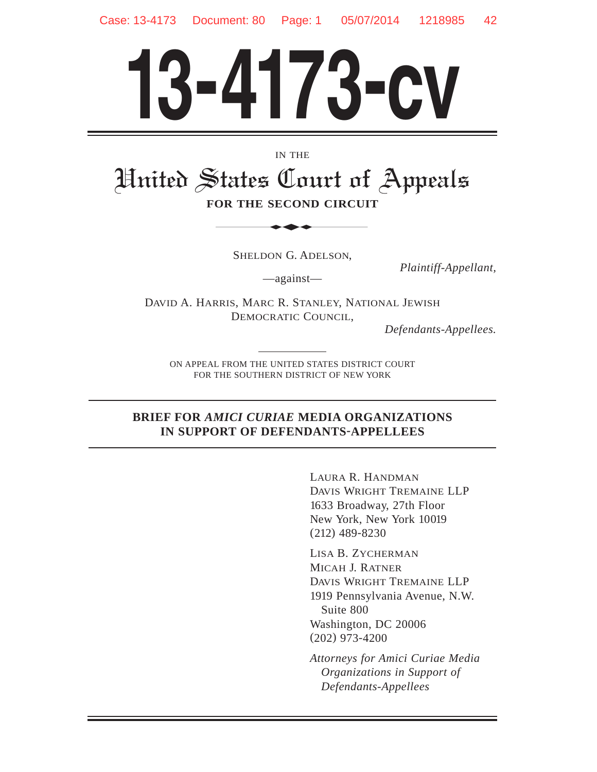# **13-4173-cv**

IN THE

# United States Court of Appeals **FOR THE SECOND CIRCUIT** IN THE<br>
STATES Court of



SHELDON G. ADELSON,

*Plaintiff-Appellant,*

—against—

DAVID A. HARRIS, MARC R. STANLEY, NATIONAL JEWISH DEMOCRATIC COUNCIL,

*Defendants-Appellees.*

ON APPEAL FROM THE UNITED STATES DISTRICT COURT FOR THE SOUTHERN DISTRICT OF NEW YORK

#### **BRIEF FOR** *AMICI CURIAE* **MEDIA ORGANIZATIONS IN SUPPORT OF DEFENDANTS-APPELLEES**

LAURA R. HANDMAN DAVIS WRIGHT TREMAINE LLP 1633 Broadway, 27th Floor New York, New York 10019 (212) 489-8230

LISA B. ZYCHERMAN MICAH J. RATNER DAVIS WRIGHT TREMAINE LLP 1919 Pennsylvania Avenue, N.W. Suite 800 Washington, DC 20006 (202) 973-4200

*Attorneys for Amici Curiae Media Organizations in Support of Defendants-Appellees*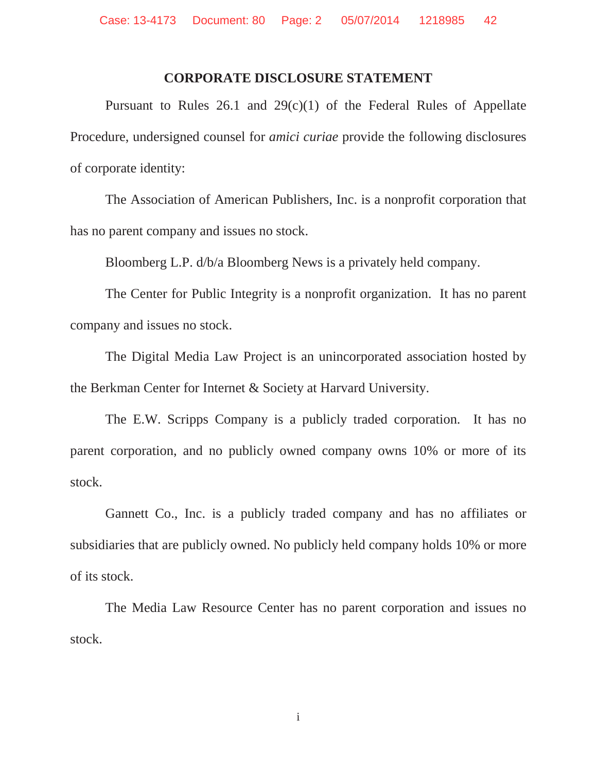#### **CORPORATE DISCLOSURE STATEMENT**

Pursuant to Rules  $26.1$  and  $29(c)(1)$  of the Federal Rules of Appellate Procedure, undersigned counsel for *amici curiae* provide the following disclosures of corporate identity:

The Association of American Publishers, Inc. is a nonprofit corporation that has no parent company and issues no stock.

Bloomberg L.P. d/b/a Bloomberg News is a privately held company.

The Center for Public Integrity is a nonprofit organization. It has no parent company and issues no stock.

The Digital Media Law Project is an unincorporated association hosted by the Berkman Center for Internet & Society at Harvard University.

The E.W. Scripps Company is a publicly traded corporation. It has no parent corporation, and no publicly owned company owns 10% or more of its stock.

Gannett Co., Inc. is a publicly traded company and has no affiliates or subsidiaries that are publicly owned. No publicly held company holds 10% or more of its stock.

The Media Law Resource Center has no parent corporation and issues no stock.

i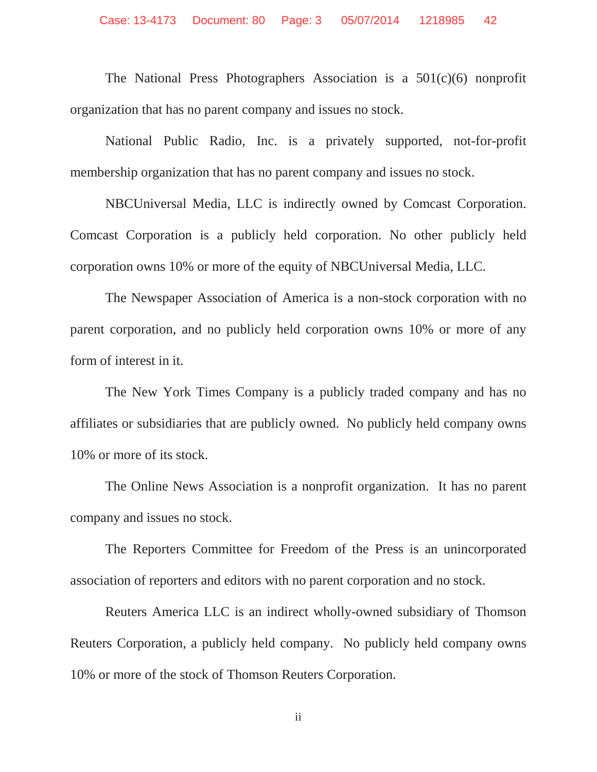The National Press Photographers Association is a 501(c)(6) nonprofit organization that has no parent company and issues no stock.

National Public Radio, Inc. is a privately supported, not-for-profit membership organization that has no parent company and issues no stock.

NBCUniversal Media, LLC is indirectly owned by Comcast Corporation. Comcast Corporation is a publicly held corporation. No other publicly held corporation owns 10% or more of the equity of NBCUniversal Media, LLC.

The Newspaper Association of America is a non-stock corporation with no parent corporation, and no publicly held corporation owns 10% or more of any form of interest in it.

The New York Times Company is a publicly traded company and has no affiliates or subsidiaries that are publicly owned. No publicly held company owns 10% or more of its stock.

The Online News Association is a nonprofit organization. It has no parent company and issues no stock.

The Reporters Committee for Freedom of the Press is an unincorporated association of reporters and editors with no parent corporation and no stock.

Reuters America LLC is an indirect wholly-owned subsidiary of Thomson Reuters Corporation, a publicly held company. No publicly held company owns 10% or more of the stock of Thomson Reuters Corporation.

ii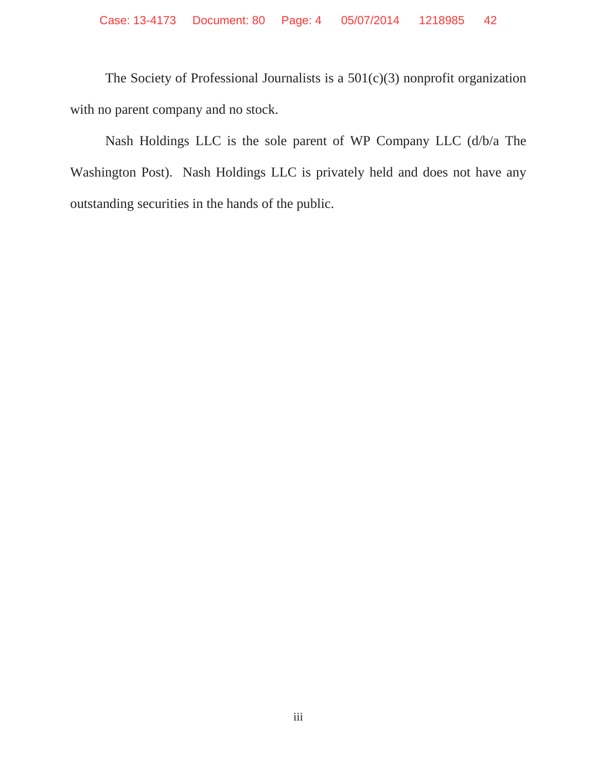The Society of Professional Journalists is a 501(c)(3) nonprofit organization with no parent company and no stock.

Nash Holdings LLC is the sole parent of WP Company LLC (d/b/a The Washington Post). Nash Holdings LLC is privately held and does not have any outstanding securities in the hands of the public.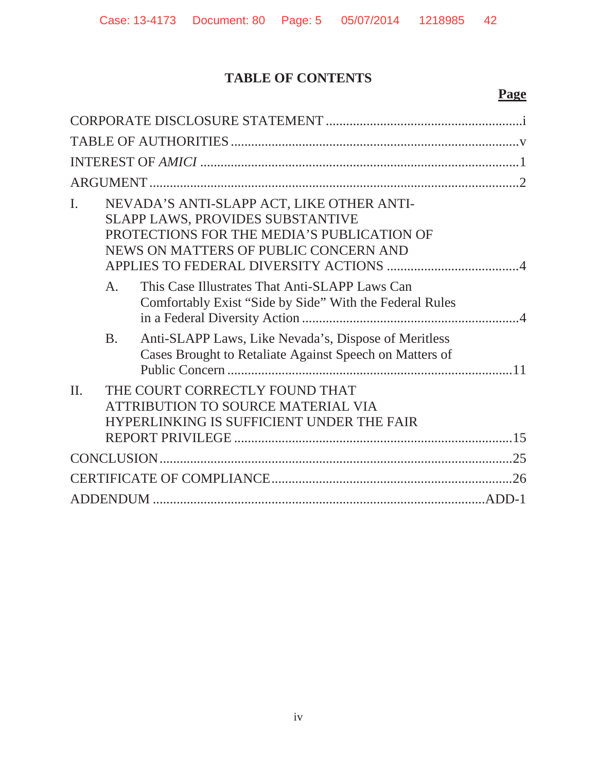# **TABLE OF CONTENTS**

# **Page**

| I.      |                | NEVADA'S ANTI-SLAPP ACT, LIKE OTHER ANTI-<br>SLAPP LAWS, PROVIDES SUBSTANTIVE<br>PROTECTIONS FOR THE MEDIA'S PUBLICATION OF<br>NEWS ON MATTERS OF PUBLIC CONCERN AND |  |  |  |
|---------|----------------|----------------------------------------------------------------------------------------------------------------------------------------------------------------------|--|--|--|
|         | A <sub>1</sub> | This Case Illustrates That Anti-SLAPP Laws Can<br>Comfortably Exist "Side by Side" With the Federal Rules                                                            |  |  |  |
|         | <b>B.</b>      | Anti-SLAPP Laws, Like Nevada's, Dispose of Meritless<br>Cases Brought to Retaliate Against Speech on Matters of                                                      |  |  |  |
| $\Pi$ . |                | THE COURT CORRECTLY FOUND THAT<br>ATTRIBUTION TO SOURCE MATERIAL VIA<br>HYPERLINKING IS SUFFICIENT UNDER THE FAIR                                                    |  |  |  |
|         |                |                                                                                                                                                                      |  |  |  |
|         |                |                                                                                                                                                                      |  |  |  |
|         |                |                                                                                                                                                                      |  |  |  |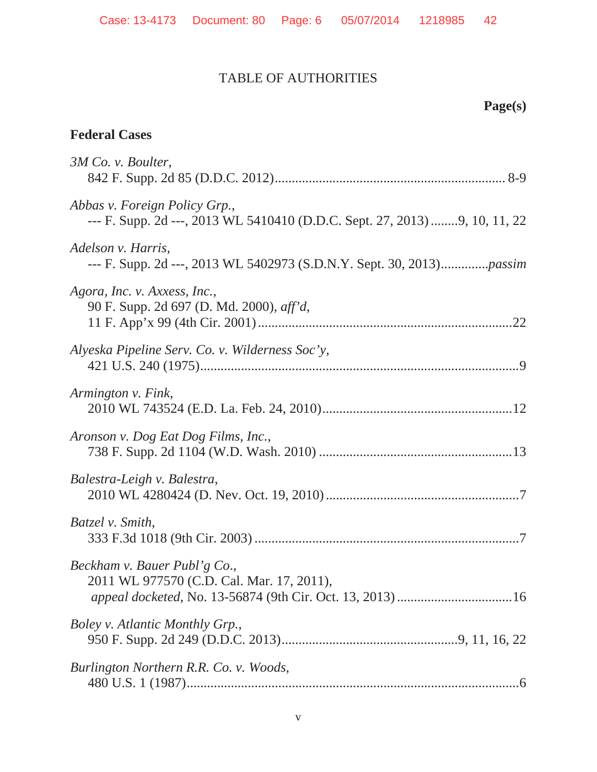# TABLE OF AUTHORITIES

# **Page(s)**

### **Federal Cases**

| 3M Co. v. Boulter,                                                                                          |
|-------------------------------------------------------------------------------------------------------------|
| Abbas v. Foreign Policy Grp.,<br>--- F. Supp. 2d ---, 2013 WL 5410410 (D.D.C. Sept. 27, 2013) 9, 10, 11, 22 |
| Adelson v. Harris,                                                                                          |
| Agora, Inc. v. Axxess, Inc.,<br>90 F. Supp. 2d 697 (D. Md. 2000), aff'd,                                    |
| Alyeska Pipeline Serv. Co. v. Wilderness Soc'y,                                                             |
| Armington v. Fink,                                                                                          |
| Aronson v. Dog Eat Dog Films, Inc.,                                                                         |
| Balestra-Leigh v. Balestra,                                                                                 |
| Batzel v. Smith,                                                                                            |
| Beckham v. Bauer Publ'g Co.,<br>2011 WL 977570 (C.D. Cal. Mar. 17, 2011),                                   |
| Boley v. Atlantic Monthly Grp.,                                                                             |
| Burlington Northern R.R. Co. v. Woods,                                                                      |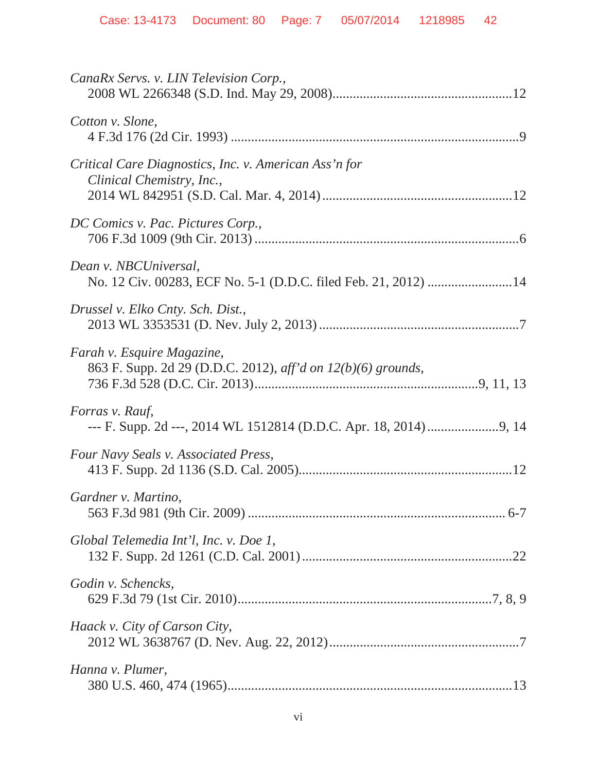| CanaRx Servs. v. LIN Television Corp.,                                                     |
|--------------------------------------------------------------------------------------------|
| Cotton v. Slone,                                                                           |
| Critical Care Diagnostics, Inc. v. American Ass'n for<br>Clinical Chemistry, Inc.,         |
| DC Comics v. Pac. Pictures Corp.,                                                          |
| Dean v. NBCUniversal,<br>No. 12 Civ. 00283, ECF No. 5-1 (D.D.C. filed Feb. 21, 2012) 14    |
| Drussel v. Elko Cnty. Sch. Dist.,                                                          |
| Farah v. Esquire Magazine,<br>863 F. Supp. 2d 29 (D.D.C. 2012), aff'd on 12(b)(6) grounds, |
| Forras v. Rauf,                                                                            |
| Four Navy Seals v. Associated Press,                                                       |
| Gardner v. Martino,                                                                        |
| Global Telemedia Int'l, Inc. v. Doe 1,                                                     |
| Godin v. Schencks,                                                                         |
| Haack v. City of Carson City,                                                              |
| Hanna v. Plumer,                                                                           |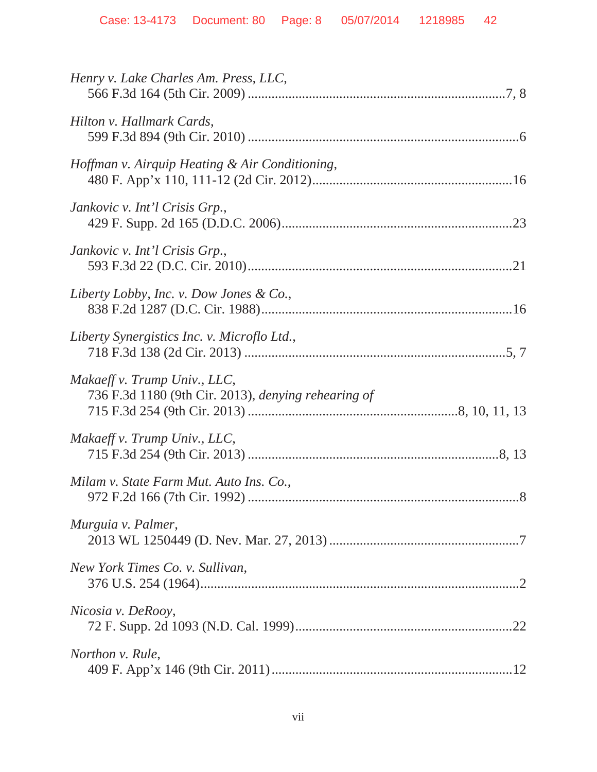| Henry v. Lake Charles Am. Press, LLC,                                               |
|-------------------------------------------------------------------------------------|
| Hilton v. Hallmark Cards,                                                           |
| Hoffman v. Airquip Heating & Air Conditioning,                                      |
| Jankovic v. Int'l Crisis Grp.,                                                      |
| Jankovic v. Int'l Crisis Grp.,                                                      |
| Liberty Lobby, Inc. v. Dow Jones & Co.,                                             |
| Liberty Synergistics Inc. v. Microflo Ltd.,                                         |
| Makaeff v. Trump Univ., LLC,<br>736 F.3d 1180 (9th Cir. 2013), denying rehearing of |
| Makaeff v. Trump Univ., LLC,                                                        |
| Milam v. State Farm Mut. Auto Ins. Co.,                                             |
| Murguia v. Palmer,                                                                  |
| New York Times Co. v. Sullivan,                                                     |
| Nicosia v. DeRooy,                                                                  |
| <i>Northon v. Rule,</i>                                                             |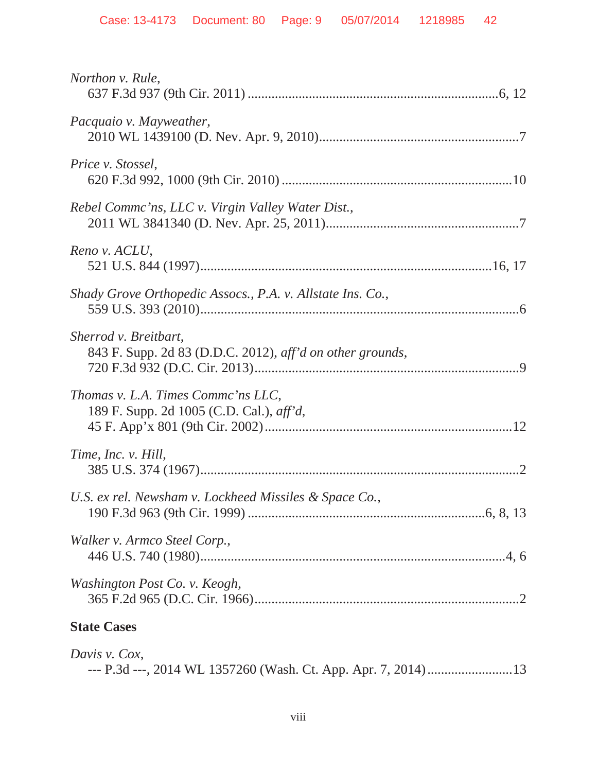| Northon v. Rule,                                                                       |
|----------------------------------------------------------------------------------------|
| Pacquaio v. Mayweather,                                                                |
| Price v. Stossel,                                                                      |
| Rebel Commc'ns, LLC v. Virgin Valley Water Dist.,                                      |
| Reno v. ACLU,                                                                          |
| Shady Grove Orthopedic Assocs., P.A. v. Allstate Ins. Co.,                             |
| Sherrod v. Breitbart,<br>843 F. Supp. 2d 83 (D.D.C. 2012), aff'd on other grounds,     |
| Thomas v. L.A. Times Commc'ns LLC,<br>189 F. Supp. 2d 1005 (C.D. Cal.), <i>aff'd</i> , |
| Time, Inc. v. Hill,                                                                    |
| U.S. ex rel. Newsham v. Lockheed Missiles & Space Co.,                                 |
| Walker v. Armco Steel Corp.,                                                           |
| Washington Post Co. v. Keogh,                                                          |
| <b>State Cases</b>                                                                     |
| Davis v. Cox,                                                                          |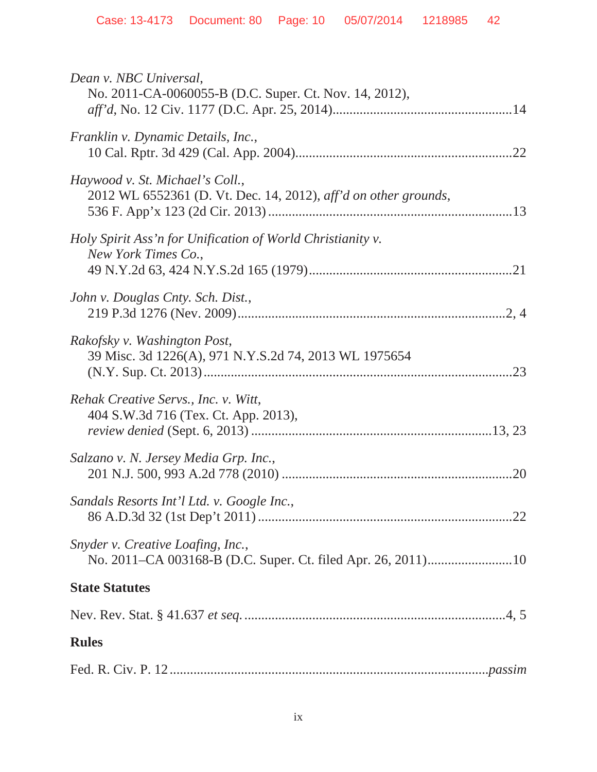| Dean v. NBC Universal,<br>No. 2011-CA-0060055-B (D.C. Super. Ct. Nov. 14, 2012),                   |
|----------------------------------------------------------------------------------------------------|
| Franklin v. Dynamic Details, Inc.,                                                                 |
| Haywood v. St. Michael's Coll.,<br>2012 WL 6552361 (D. Vt. Dec. 14, 2012), aff'd on other grounds, |
| Holy Spirit Ass'n for Unification of World Christianity v.<br>New York Times Co.,                  |
| John v. Douglas Cnty. Sch. Dist.,                                                                  |
| Rakofsky v. Washington Post,<br>39 Misc. 3d 1226(A), 971 N.Y.S.2d 74, 2013 WL 1975654<br>.23       |
| Rehak Creative Servs., Inc. v. Witt,<br>404 S.W.3d 716 (Tex. Ct. App. 2013),                       |
| Salzano v. N. Jersey Media Grp. Inc.,                                                              |
| Sandals Resorts Int'l Ltd. v. Google Inc.,                                                         |
| Snyder v. Creative Loafing, Inc.,                                                                  |
| <b>State Statutes</b>                                                                              |
|                                                                                                    |
| <b>Rules</b>                                                                                       |
|                                                                                                    |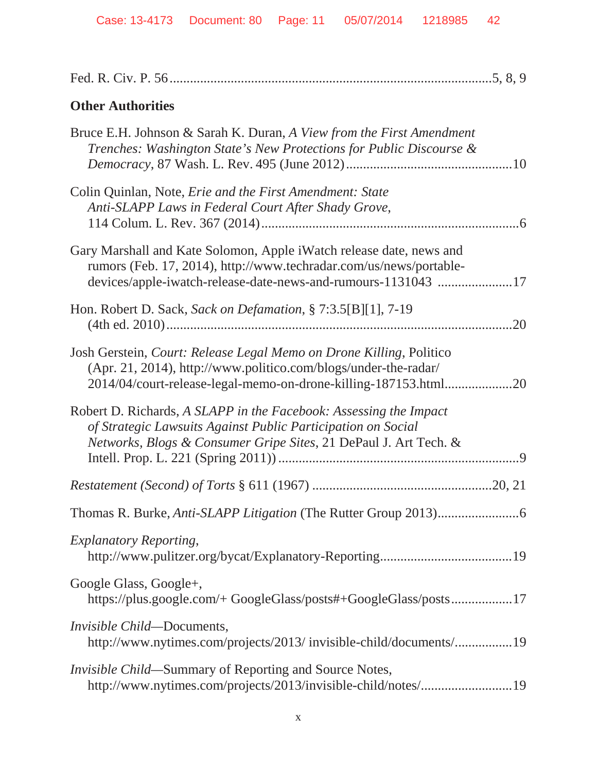| <b>Other Authorities</b>                                                                                                                                                                                    |
|-------------------------------------------------------------------------------------------------------------------------------------------------------------------------------------------------------------|
| Bruce E.H. Johnson & Sarah K. Duran, A View from the First Amendment<br>Trenches: Washington State's New Protections for Public Discourse &                                                                 |
| Colin Quinlan, Note, <i>Erie and the First Amendment: State</i><br>Anti-SLAPP Laws in Federal Court After Shady Grove,                                                                                      |
| Gary Marshall and Kate Solomon, Apple i Watch release date, news and<br>rumors (Feb. 17, 2014), http://www.techradar.com/us/news/portable-<br>devices/apple-iwatch-release-date-news-and-rumours-1131043 17 |
| Hon. Robert D. Sack, Sack on Defamation, § 7:3.5[B][1], 7-19<br>.20                                                                                                                                         |
| Josh Gerstein, Court: Release Legal Memo on Drone Killing, Politico<br>(Apr. 21, 2014), http://www.politico.com/blogs/under-the-radar/<br>2014/04/court-release-legal-memo-on-drone-killing-187153.html20   |
| Robert D. Richards, A SLAPP in the Facebook: Assessing the Impact<br>of Strategic Lawsuits Against Public Participation on Social<br>Networks, Blogs & Consumer Gripe Sites, 21 DePaul J. Art Tech. &       |
|                                                                                                                                                                                                             |
|                                                                                                                                                                                                             |
| <b>Explanatory Reporting,</b>                                                                                                                                                                               |
| Google Glass, Google+,<br>https://plus.google.com/+ GoogleGlass/posts#+GoogleGlass/posts17                                                                                                                  |
| <i>Invisible Child</i> —Documents,<br>http://www.nytimes.com/projects/2013/ invisible-child/documents/19                                                                                                    |
| <i>Invisible Child</i> —Summary of Reporting and Source Notes,<br>http://www.nytimes.com/projects/2013/invisible-child/notes/19                                                                             |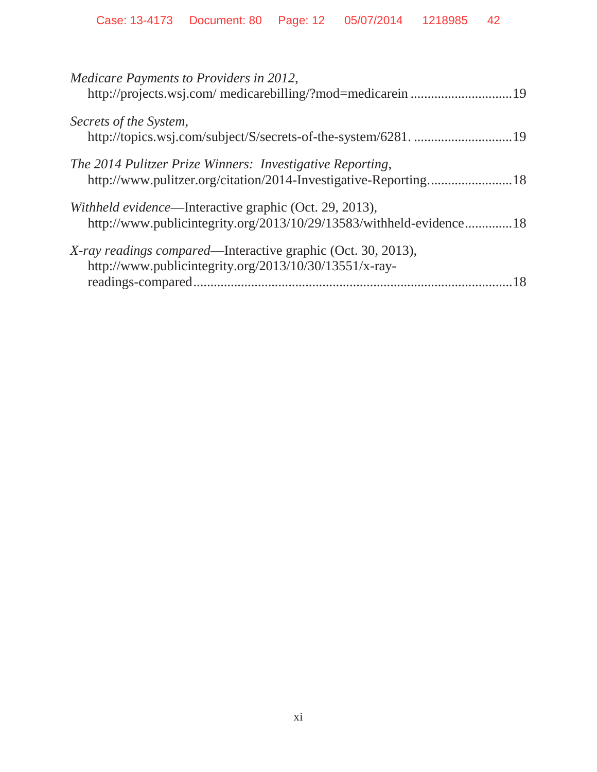| Medicare Payments to Providers in 2012,                                                                                              |
|--------------------------------------------------------------------------------------------------------------------------------------|
| Secrets of the System,                                                                                                               |
| The 2014 Pulitzer Prize Winners: Investigative Reporting,                                                                            |
| Withheld evidence—Interactive graphic (Oct. 29, 2013),<br>http://www.publicintegrity.org/2013/10/29/13583/withheld-evidence18        |
| <i>X-ray readings compared</i> —Interactive graphic (Oct. 30, 2013),<br>http://www.publicintegrity.org/2013/10/30/13551/x-ray-<br>18 |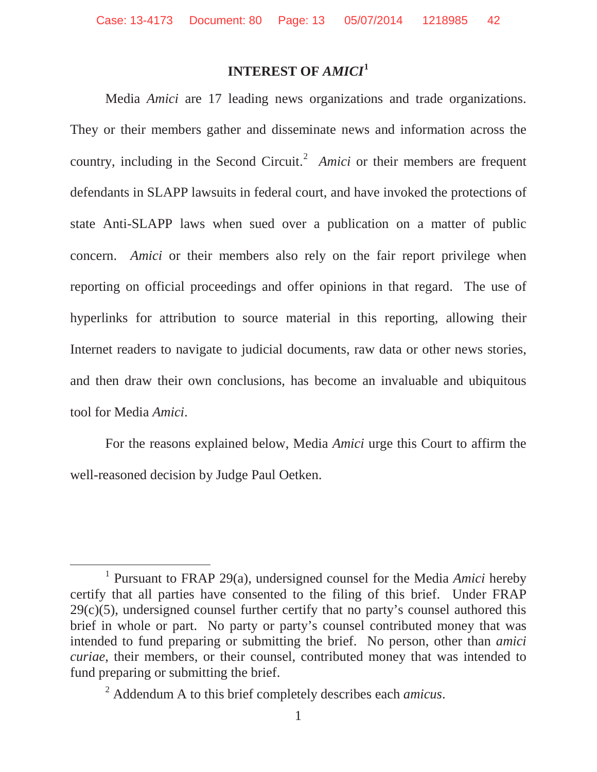## **INTEREST OF** *AMICI***<sup>1</sup>**

Media *Amici* are 17 leading news organizations and trade organizations. They or their members gather and disseminate news and information across the country, including in the Second Circuit.<sup>2</sup> *Amici* or their members are frequent defendants in SLAPP lawsuits in federal court, and have invoked the protections of state Anti-SLAPP laws when sued over a publication on a matter of public concern. *Amici* or their members also rely on the fair report privilege when reporting on official proceedings and offer opinions in that regard. The use of hyperlinks for attribution to source material in this reporting, allowing their Internet readers to navigate to judicial documents, raw data or other news stories, and then draw their own conclusions, has become an invaluable and ubiquitous tool for Media *Amici*.

For the reasons explained below, Media *Amici* urge this Court to affirm the well-reasoned decision by Judge Paul Oetken.

<sup>1</sup> Pursuant to FRAP 29(a), undersigned counsel for the Media *Amici* hereby certify that all parties have consented to the filing of this brief. Under FRAP  $29(c)(5)$ , undersigned counsel further certify that no party's counsel authored this brief in whole or part. No party or party's counsel contributed money that was intended to fund preparing or submitting the brief. No person, other than *amici curiae*, their members, or their counsel, contributed money that was intended to fund preparing or submitting the brief.

<sup>2</sup> Addendum A to this brief completely describes each *amicus*.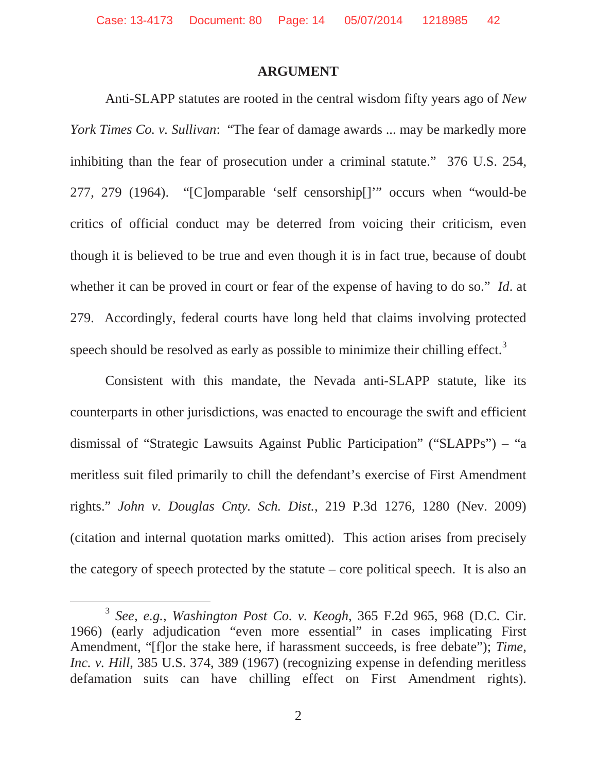#### **ARGUMENT**

Anti-SLAPP statutes are rooted in the central wisdom fifty years ago of *New York Times Co. v. Sullivan*: "The fear of damage awards ... may be markedly more inhibiting than the fear of prosecution under a criminal statute." 376 U.S. 254, 277, 279 (1964). "[C]omparable 'self censorship[]'" occurs when "would-be critics of official conduct may be deterred from voicing their criticism, even though it is believed to be true and even though it is in fact true, because of doubt whether it can be proved in court or fear of the expense of having to do so." *Id*. at 279. Accordingly, federal courts have long held that claims involving protected speech should be resolved as early as possible to minimize their chilling effect.<sup>3</sup>

Consistent with this mandate, the Nevada anti-SLAPP statute, like its counterparts in other jurisdictions, was enacted to encourage the swift and efficient dismissal of "Strategic Lawsuits Against Public Participation" ("SLAPPs") – "a meritless suit filed primarily to chill the defendant's exercise of First Amendment rights." *John v. Douglas Cnty. Sch. Dist.*, 219 P.3d 1276, 1280 (Nev. 2009) (citation and internal quotation marks omitted). This action arises from precisely the category of speech protected by the statute – core political speech. It is also an

<sup>3</sup> *See, e.g.*, *Washington Post Co. v. Keogh*, 365 F.2d 965, 968 (D.C. Cir. 1966) (early adjudication "even more essential" in cases implicating First Amendment, "[f]or the stake here, if harassment succeeds, is free debate"); *Time, Inc. v. Hill*, 385 U.S. 374, 389 (1967) (recognizing expense in defending meritless defamation suits can have chilling effect on First Amendment rights).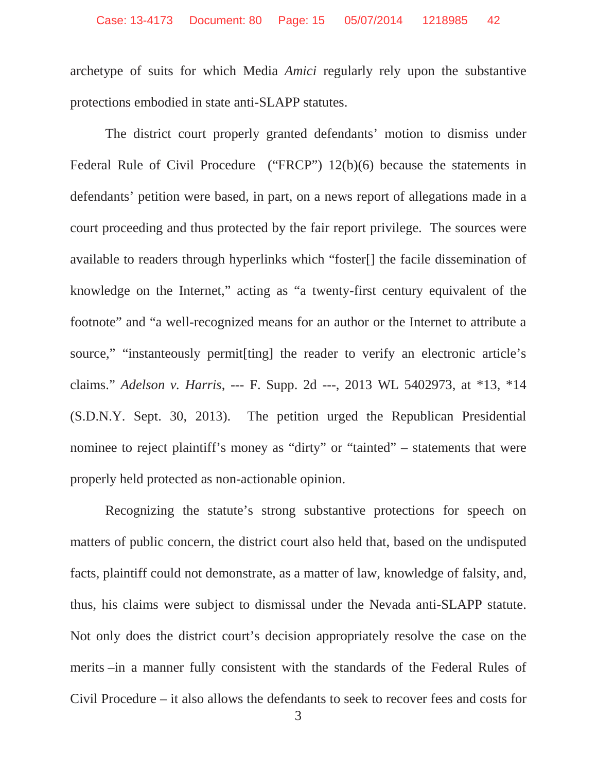archetype of suits for which Media *Amici* regularly rely upon the substantive protections embodied in state anti-SLAPP statutes.

The district court properly granted defendants' motion to dismiss under Federal Rule of Civil Procedure ("FRCP") 12(b)(6) because the statements in defendants' petition were based, in part, on a news report of allegations made in a court proceeding and thus protected by the fair report privilege. The sources were available to readers through hyperlinks which "foster[] the facile dissemination of knowledge on the Internet," acting as "a twenty-first century equivalent of the footnote" and "a well-recognized means for an author or the Internet to attribute a source," "instanteously permitesting] the reader to verify an electronic article's claims." *Adelson v. Harris*, --- F. Supp. 2d ---, 2013 WL 5402973, at \*13, \*14 (S.D.N.Y. Sept. 30, 2013). The petition urged the Republican Presidential nominee to reject plaintiff's money as "dirty" or "tainted" – statements that were properly held protected as non-actionable opinion.

Recognizing the statute's strong substantive protections for speech on matters of public concern, the district court also held that, based on the undisputed facts, plaintiff could not demonstrate, as a matter of law, knowledge of falsity, and, thus, his claims were subject to dismissal under the Nevada anti-SLAPP statute. Not only does the district court's decision appropriately resolve the case on the merits –in a manner fully consistent with the standards of the Federal Rules of Civil Procedure – it also allows the defendants to seek to recover fees and costs for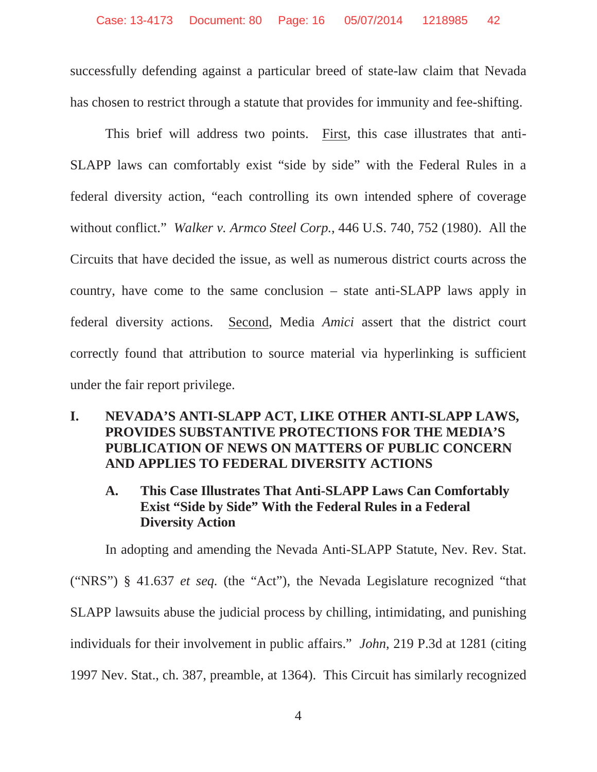successfully defending against a particular breed of state-law claim that Nevada has chosen to restrict through a statute that provides for immunity and fee-shifting.

This brief will address two points. First, this case illustrates that anti-SLAPP laws can comfortably exist "side by side" with the Federal Rules in a federal diversity action, "each controlling its own intended sphere of coverage without conflict." *Walker v. Armco Steel Corp.*, 446 U.S. 740, 752 (1980). All the Circuits that have decided the issue, as well as numerous district courts across the country, have come to the same conclusion – state anti-SLAPP laws apply in federal diversity actions. Second, Media *Amici* assert that the district court correctly found that attribution to source material via hyperlinking is sufficient under the fair report privilege.

#### **I. NEVADA'S ANTI-SLAPP ACT, LIKE OTHER ANTI-SLAPP LAWS, PROVIDES SUBSTANTIVE PROTECTIONS FOR THE MEDIA'S PUBLICATION OF NEWS ON MATTERS OF PUBLIC CONCERN AND APPLIES TO FEDERAL DIVERSITY ACTIONS**

#### **A. This Case Illustrates That Anti-SLAPP Laws Can Comfortably Exist "Side by Side" With the Federal Rules in a Federal Diversity Action**

In adopting and amending the Nevada Anti-SLAPP Statute, Nev. Rev. Stat. ("NRS") § 41.637 *et seq.* (the "Act"), the Nevada Legislature recognized "that SLAPP lawsuits abuse the judicial process by chilling, intimidating, and punishing individuals for their involvement in public affairs." *John*, 219 P.3d at 1281 (citing 1997 Nev. Stat., ch. 387, preamble, at 1364). This Circuit has similarly recognized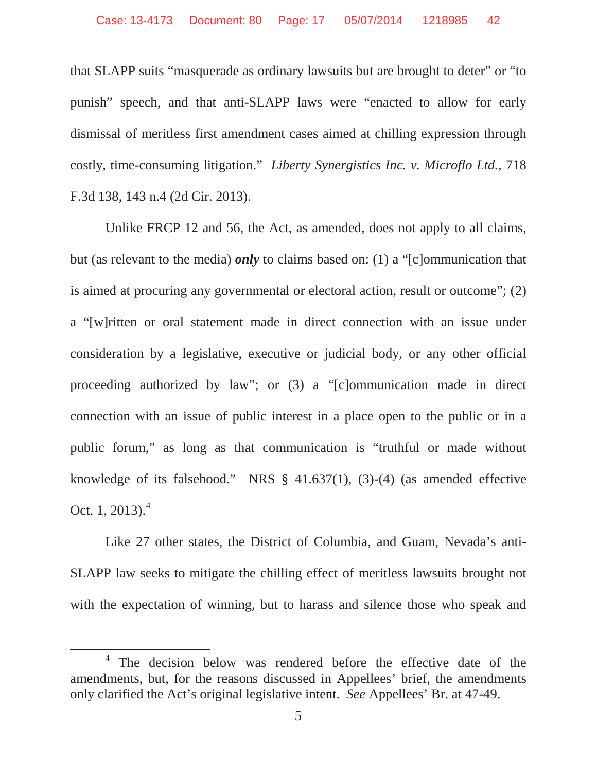that SLAPP suits "masquerade as ordinary lawsuits but are brought to deter" or "to punish" speech, and that anti-SLAPP laws were "enacted to allow for early dismissal of meritless first amendment cases aimed at chilling expression through costly, time-consuming litigation." *Liberty Synergistics Inc. v. Microflo Ltd.*, 718 F.3d 138, 143 n.4 (2d Cir. 2013).

Unlike FRCP 12 and 56, the Act, as amended, does not apply to all claims, but (as relevant to the media) *only* to claims based on: (1) a "[c]ommunication that is aimed at procuring any governmental or electoral action, result or outcome"; (2) a "[w]ritten or oral statement made in direct connection with an issue under consideration by a legislative, executive or judicial body, or any other official proceeding authorized by law"; or (3) a "[c]ommunication made in direct connection with an issue of public interest in a place open to the public or in a public forum," as long as that communication is "truthful or made without knowledge of its falsehood." NRS § 41.637(1), (3)-(4) (as amended effective Oct. 1, 2013). $^{4}$ 

Like 27 other states, the District of Columbia, and Guam, Nevada's anti-SLAPP law seeks to mitigate the chilling effect of meritless lawsuits brought not with the expectation of winning, but to harass and silence those who speak and

<sup>&</sup>lt;sup>4</sup> The decision below was rendered before the effective date of the amendments, but, for the reasons discussed in Appellees' brief, the amendments only clarified the Act's original legislative intent. *See* Appellees' Br. at 47-49.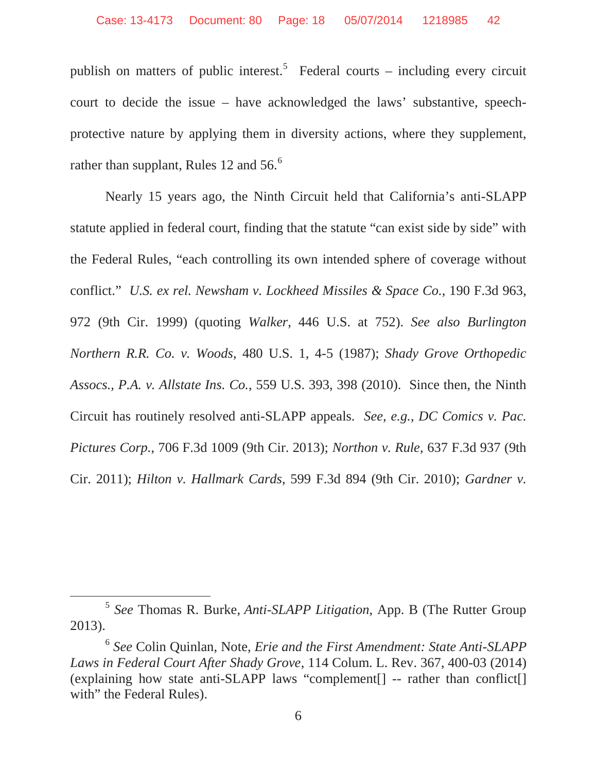publish on matters of public interest.<sup>5</sup> Federal courts – including every circuit court to decide the issue – have acknowledged the laws' substantive, speechprotective nature by applying them in diversity actions, where they supplement, rather than supplant, Rules 12 and 56.<sup>6</sup>

Nearly 15 years ago, the Ninth Circuit held that California's anti-SLAPP statute applied in federal court, finding that the statute "can exist side by side" with the Federal Rules, "each controlling its own intended sphere of coverage without conflict." *U.S. ex rel. Newsham v. Lockheed Missiles & Space Co.*, 190 F.3d 963, 972 (9th Cir. 1999) (quoting *Walker*, 446 U.S. at 752). *See also Burlington Northern R.R. Co. v. Woods*, 480 U.S. 1, 4-5 (1987); *Shady Grove Orthopedic Assocs., P.A. v. Allstate Ins. Co.*, 559 U.S. 393, 398 (2010). Since then, the Ninth Circuit has routinely resolved anti-SLAPP appeals. *See, e.g.*, *DC Comics v. Pac. Pictures Corp.*, 706 F.3d 1009 (9th Cir. 2013); *Northon v. Rule*, 637 F.3d 937 (9th Cir. 2011); *Hilton v. Hallmark Cards*, 599 F.3d 894 (9th Cir. 2010); *Gardner v.* 

<sup>5</sup> *See* Thomas R. Burke, *Anti-SLAPP Litigation*, App. B (The Rutter Group 2013).

<sup>6</sup> *See* Colin Quinlan, Note, *Erie and the First Amendment: State Anti-SLAPP Laws in Federal Court After Shady Grove*, 114 Colum. L. Rev. 367, 400-03 (2014) (explaining how state anti-SLAPP laws "complement[] -- rather than conflict[] with" the Federal Rules).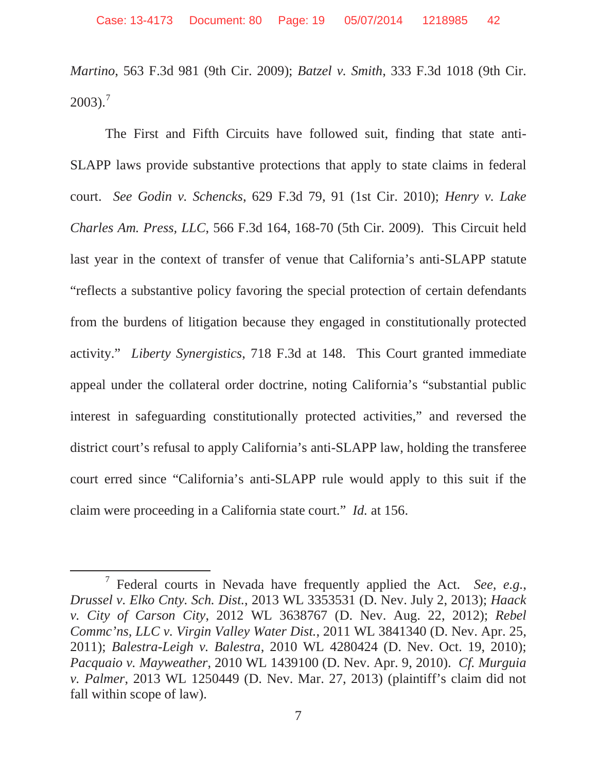*Martino*, 563 F.3d 981 (9th Cir. 2009); *Batzel v. Smith*, 333 F.3d 1018 (9th Cir.  $2003$ ).<sup>7</sup>

The First and Fifth Circuits have followed suit, finding that state anti-SLAPP laws provide substantive protections that apply to state claims in federal court. *See Godin v. Schencks*, 629 F.3d 79, 91 (1st Cir. 2010); *Henry v. Lake Charles Am. Press, LLC*, 566 F.3d 164, 168-70 (5th Cir. 2009). This Circuit held last year in the context of transfer of venue that California's anti-SLAPP statute "reflects a substantive policy favoring the special protection of certain defendants from the burdens of litigation because they engaged in constitutionally protected activity." *Liberty Synergistics*, 718 F.3d at 148. This Court granted immediate appeal under the collateral order doctrine, noting California's "substantial public interest in safeguarding constitutionally protected activities," and reversed the district court's refusal to apply California's anti-SLAPP law, holding the transferee court erred since "California's anti-SLAPP rule would apply to this suit if the claim were proceeding in a California state court." *Id.* at 156.

<sup>7</sup> Federal courts in Nevada have frequently applied the Act. *See, e.g.*, *Drussel v. Elko Cnty. Sch. Dist.*, 2013 WL 3353531 (D. Nev. July 2, 2013); *Haack v. City of Carson City*, 2012 WL 3638767 (D. Nev. Aug. 22, 2012); *Rebel Commc'ns, LLC v. Virgin Valley Water Dist.*, 2011 WL 3841340 (D. Nev. Apr. 25, 2011); *Balestra-Leigh v. Balestra*, 2010 WL 4280424 (D. Nev. Oct. 19, 2010); *Pacquaio v. Mayweather*, 2010 WL 1439100 (D. Nev. Apr. 9, 2010). *Cf. Murguia v. Palmer*, 2013 WL 1250449 (D. Nev. Mar. 27, 2013) (plaintiff's claim did not fall within scope of law).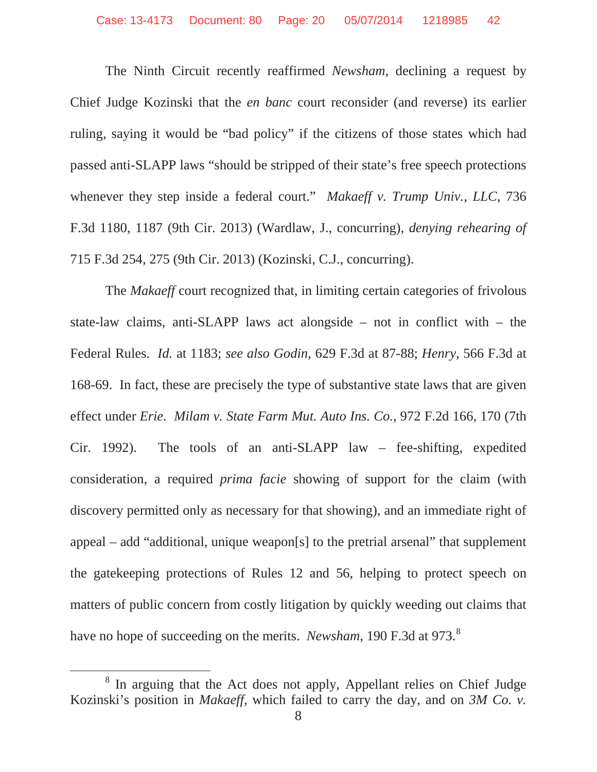The Ninth Circuit recently reaffirmed *Newsham*, declining a request by Chief Judge Kozinski that the *en banc* court reconsider (and reverse) its earlier ruling, saying it would be "bad policy" if the citizens of those states which had passed anti-SLAPP laws "should be stripped of their state's free speech protections whenever they step inside a federal court." *Makaeff v. Trump Univ., LLC*, 736 F.3d 1180, 1187 (9th Cir. 2013) (Wardlaw, J., concurring), *denying rehearing of* 715 F.3d 254, 275 (9th Cir. 2013) (Kozinski, C.J., concurring).

The *Makaeff* court recognized that, in limiting certain categories of frivolous state-law claims, anti-SLAPP laws act alongside – not in conflict with – the Federal Rules. *Id.* at 1183; *see also Godin*, 629 F.3d at 87-88; *Henry*, 566 F.3d at 168-69. In fact, these are precisely the type of substantive state laws that are given effect under *Erie. Milam v. State Farm Mut. Auto Ins. Co.*, 972 F.2d 166, 170 (7th Cir. 1992). The tools of an anti-SLAPP law – fee-shifting, expedited consideration, a required *prima facie* showing of support for the claim (with discovery permitted only as necessary for that showing), and an immediate right of appeal – add "additional, unique weapon[s] to the pretrial arsenal" that supplement the gatekeeping protections of Rules 12 and 56, helping to protect speech on matters of public concern from costly litigation by quickly weeding out claims that have no hope of succeeding on the merits. *Newsham*, 190 F.3d at 973.<sup>8</sup>

<sup>&</sup>lt;sup>8</sup> In arguing that the Act does not apply, Appellant relies on Chief Judge Kozinski's position in *Makaeff*, which failed to carry the day, and on *3M Co. v.*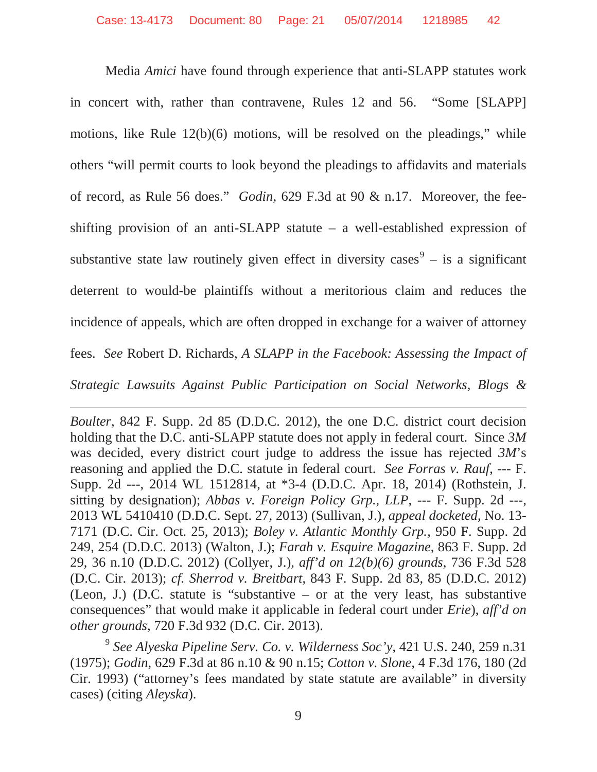Media *Amici* have found through experience that anti-SLAPP statutes work in concert with, rather than contravene, Rules 12 and 56. "Some [SLAPP] motions, like Rule 12(b)(6) motions, will be resolved on the pleadings," while others "will permit courts to look beyond the pleadings to affidavits and materials of record, as Rule 56 does." *Godin,* 629 F.3d at 90 & n.17. Moreover, the feeshifting provision of an anti-SLAPP statute – a well-established expression of substantive state law routinely given effect in diversity cases<sup>9</sup> – is a significant deterrent to would-be plaintiffs without a meritorious claim and reduces the incidence of appeals, which are often dropped in exchange for a waiver of attorney fees. *See* Robert D. Richards, *A SLAPP in the Facebook: Assessing the Impact of Strategic Lawsuits Against Public Participation on Social Networks, Blogs &* 

*Boulter*, 842 F. Supp. 2d 85 (D.D.C. 2012), the one D.C. district court decision holding that the D.C. anti-SLAPP statute does not apply in federal court. Since *3M*  was decided, every district court judge to address the issue has rejected *3M*'s reasoning and applied the D.C. statute in federal court. *See Forras v. Rauf*, --- F. Supp. 2d ---, 2014 WL 1512814, at \*3-4 (D.D.C. Apr. 18, 2014) (Rothstein, J. sitting by designation); *Abbas v. Foreign Policy Grp., LLP*, --- F. Supp. 2d ---, 2013 WL 5410410 (D.D.C. Sept. 27, 2013) (Sullivan, J.), *appeal docketed*, No. 13- 7171 (D.C. Cir. Oct. 25, 2013); *Boley v. Atlantic Monthly Grp.*, 950 F. Supp. 2d 249, 254 (D.D.C. 2013) (Walton, J.); *Farah v. Esquire Magazine*, 863 F. Supp. 2d 29, 36 n.10 (D.D.C. 2012) (Collyer, J.), *aff'd on 12(b)(6) grounds*, 736 F.3d 528 (D.C. Cir. 2013); *cf. Sherrod v. Breitbart*, 843 F. Supp. 2d 83, 85 (D.D.C. 2012) (Leon, J.) (D.C. statute is "substantive – or at the very least, has substantive consequences" that would make it applicable in federal court under *Erie*), *aff'd on other grounds*, 720 F.3d 932 (D.C. Cir. 2013).

<sup>9</sup> *See Alyeska Pipeline Serv. Co. v. Wilderness Soc'y*, 421 U.S. 240, 259 n.31 (1975); *Godin*, 629 F.3d at 86 n.10 & 90 n.15; *Cotton v. Slone*, 4 F.3d 176, 180 (2d Cir. 1993) ("attorney's fees mandated by state statute are available" in diversity cases) (citing *Aleyska*).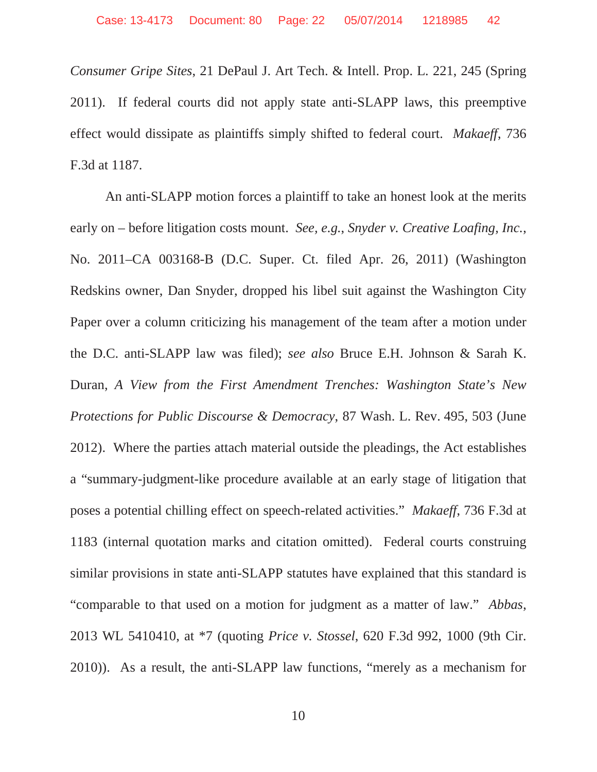*Consumer Gripe Sites*, 21 DePaul J. Art Tech. & Intell. Prop. L. 221, 245 (Spring 2011). If federal courts did not apply state anti-SLAPP laws, this preemptive effect would dissipate as plaintiffs simply shifted to federal court. *Makaeff*, 736 F.3d at 1187.

An anti-SLAPP motion forces a plaintiff to take an honest look at the merits early on – before litigation costs mount. *See, e.g.*, *Snyder v. Creative Loafing, Inc.*, No. 2011–CA 003168-B (D.C. Super. Ct. filed Apr. 26, 2011) (Washington Redskins owner, Dan Snyder, dropped his libel suit against the Washington City Paper over a column criticizing his management of the team after a motion under the D.C. anti-SLAPP law was filed); *see also* Bruce E.H. Johnson & Sarah K. Duran, *A View from the First Amendment Trenches: Washington State's New Protections for Public Discourse & Democracy*, 87 Wash. L. Rev. 495, 503 (June 2012). Where the parties attach material outside the pleadings, the Act establishes a "summary-judgment-like procedure available at an early stage of litigation that poses a potential chilling effect on speech-related activities." *Makaeff*, 736 F.3d at 1183 (internal quotation marks and citation omitted). Federal courts construing similar provisions in state anti-SLAPP statutes have explained that this standard is "comparable to that used on a motion for judgment as a matter of law." *Abbas*, 2013 WL 5410410, at \*7 (quoting *Price v. Stossel*, 620 F.3d 992, 1000 (9th Cir. 2010)). As a result, the anti-SLAPP law functions, "merely as a mechanism for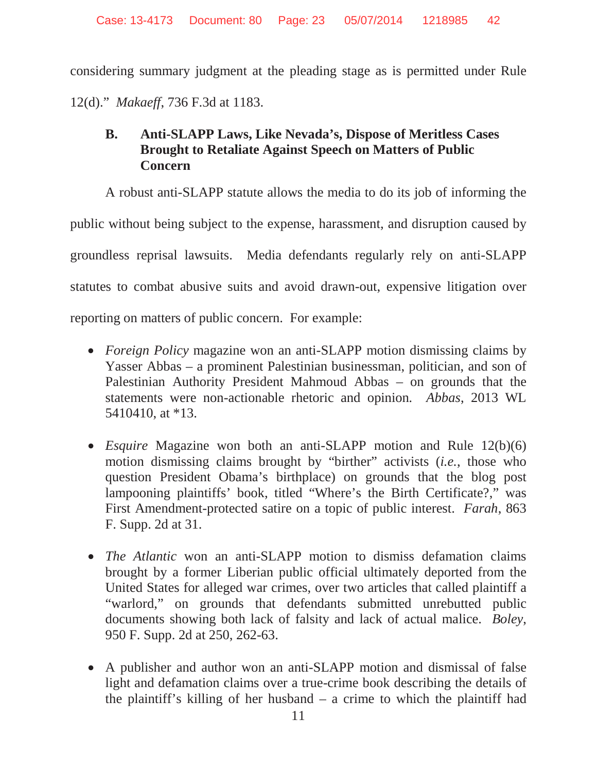considering summary judgment at the pleading stage as is permitted under Rule 12(d)." *Makaeff*, 736 F.3d at 1183.

#### **B. Anti-SLAPP Laws, Like Nevada's, Dispose of Meritless Cases Brought to Retaliate Against Speech on Matters of Public Concern**

A robust anti-SLAPP statute allows the media to do its job of informing the public without being subject to the expense, harassment, and disruption caused by groundless reprisal lawsuits. Media defendants regularly rely on anti-SLAPP statutes to combat abusive suits and avoid drawn-out, expensive litigation over reporting on matters of public concern. For example:

- *Foreign Policy* magazine won an anti-SLAPP motion dismissing claims by Yasser Abbas – a prominent Palestinian businessman, politician, and son of Palestinian Authority President Mahmoud Abbas – on grounds that the statements were non-actionable rhetoric and opinion*. Abbas*, 2013 WL 5410410, at \*13.
- *Esquire* Magazine won both an anti-SLAPP motion and Rule 12(b)(6) motion dismissing claims brought by "birther" activists (*i.e.*, those who question President Obama's birthplace) on grounds that the blog post lampooning plaintiffs' book, titled "Where's the Birth Certificate?," was First Amendment-protected satire on a topic of public interest. *Farah*, 863 F. Supp. 2d at 31.
- *The Atlantic* won an anti-SLAPP motion to dismiss defamation claims brought by a former Liberian public official ultimately deported from the United States for alleged war crimes, over two articles that called plaintiff a "warlord," on grounds that defendants submitted unrebutted public documents showing both lack of falsity and lack of actual malice. *Boley*, 950 F. Supp. 2d at 250, 262-63.
- A publisher and author won an anti-SLAPP motion and dismissal of false light and defamation claims over a true-crime book describing the details of the plaintiff's killing of her husband – a crime to which the plaintiff had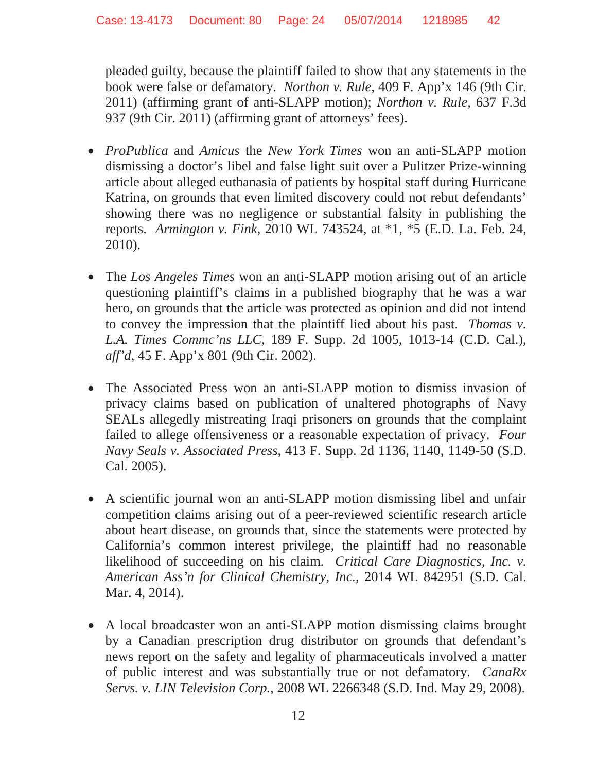pleaded guilty, because the plaintiff failed to show that any statements in the book were false or defamatory. *Northon v. Rule*, 409 F. App'x 146 (9th Cir. 2011) (affirming grant of anti-SLAPP motion); *Northon v. Rule*, 637 F.3d 937 (9th Cir. 2011) (affirming grant of attorneys' fees).

- x *ProPublica* and *Amicus* the *New York Times* won an anti-SLAPP motion dismissing a doctor's libel and false light suit over a Pulitzer Prize-winning article about alleged euthanasia of patients by hospital staff during Hurricane Katrina, on grounds that even limited discovery could not rebut defendants' showing there was no negligence or substantial falsity in publishing the reports. *Armington v. Fink*, 2010 WL 743524, at \*1, \*5 (E.D. La. Feb. 24, 2010).
- The *Los Angeles Times* won an anti-SLAPP motion arising out of an article questioning plaintiff's claims in a published biography that he was a war hero, on grounds that the article was protected as opinion and did not intend to convey the impression that the plaintiff lied about his past. *Thomas v. L.A. Times Commc'ns LLC*, 189 F. Supp. 2d 1005, 1013-14 (C.D. Cal.), *aff'd*, 45 F. App'x 801 (9th Cir. 2002).
- The Associated Press won an anti-SLAPP motion to dismiss invasion of privacy claims based on publication of unaltered photographs of Navy SEALs allegedly mistreating Iraqi prisoners on grounds that the complaint failed to allege offensiveness or a reasonable expectation of privacy. *Four Navy Seals v. Associated Press*, 413 F. Supp. 2d 1136, 1140, 1149-50 (S.D. Cal. 2005).
- A scientific journal won an anti-SLAPP motion dismissing libel and unfair competition claims arising out of a peer-reviewed scientific research article about heart disease, on grounds that, since the statements were protected by California's common interest privilege, the plaintiff had no reasonable likelihood of succeeding on his claim. *Critical Care Diagnostics, Inc. v. American Ass'n for Clinical Chemistry, Inc.*, 2014 WL 842951 (S.D. Cal. Mar. 4, 2014).
- A local broadcaster won an anti-SLAPP motion dismissing claims brought by a Canadian prescription drug distributor on grounds that defendant's news report on the safety and legality of pharmaceuticals involved a matter of public interest and was substantially true or not defamatory. *CanaRx Servs. v. LIN Television Corp.*, 2008 WL 2266348 (S.D. Ind. May 29, 2008).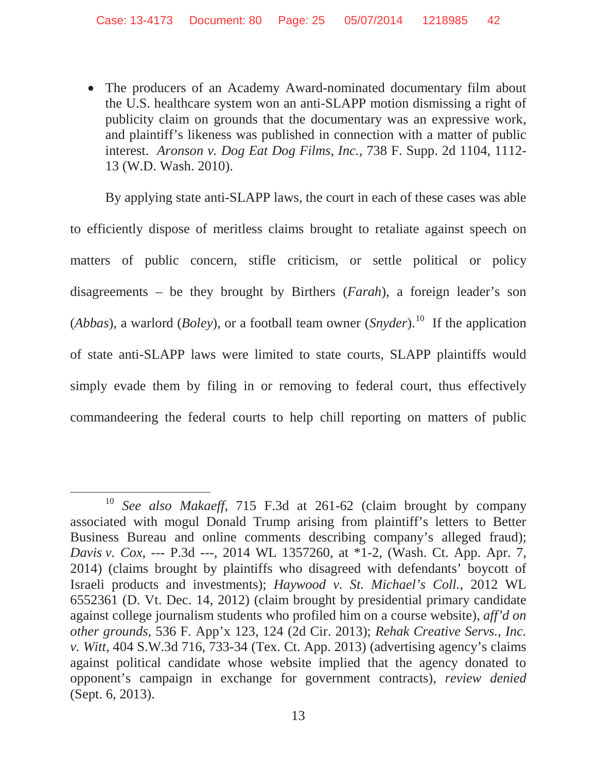• The producers of an Academy Award-nominated documentary film about the U.S. healthcare system won an anti-SLAPP motion dismissing a right of publicity claim on grounds that the documentary was an expressive work, and plaintiff's likeness was published in connection with a matter of public interest. *Aronson v. Dog Eat Dog Films, Inc.*, 738 F. Supp. 2d 1104, 1112- 13 (W.D. Wash. 2010).

By applying state anti-SLAPP laws, the court in each of these cases was able to efficiently dispose of meritless claims brought to retaliate against speech on matters of public concern, stifle criticism, or settle political or policy disagreements – be they brought by Birthers (*Farah*), a foreign leader's son (*Abbas*), a warlord (*Boley*), or a football team owner (*Snyder*).<sup>10</sup> If the application of state anti-SLAPP laws were limited to state courts, SLAPP plaintiffs would simply evade them by filing in or removing to federal court, thus effectively commandeering the federal courts to help chill reporting on matters of public

See also Makaeff, 715 F.3d at 261-62 (claim brought by company associated with mogul Donald Trump arising from plaintiff's letters to Better Business Bureau and online comments describing company's alleged fraud); *Davis v. Cox*, --- P.3d ---, 2014 WL 1357260, at \*1-2, (Wash. Ct. App. Apr. 7, 2014) (claims brought by plaintiffs who disagreed with defendants' boycott of Israeli products and investments); *Haywood v. St. Michael's Coll.*, 2012 WL 6552361 (D. Vt. Dec. 14, 2012) (claim brought by presidential primary candidate against college journalism students who profiled him on a course website), *aff'd on other grounds*, 536 F. App'x 123, 124 (2d Cir. 2013); *Rehak Creative Servs., Inc. v. Witt*, 404 S.W.3d 716, 733-34 (Tex. Ct. App. 2013) (advertising agency's claims against political candidate whose website implied that the agency donated to opponent's campaign in exchange for government contracts), *review denied* (Sept. 6, 2013).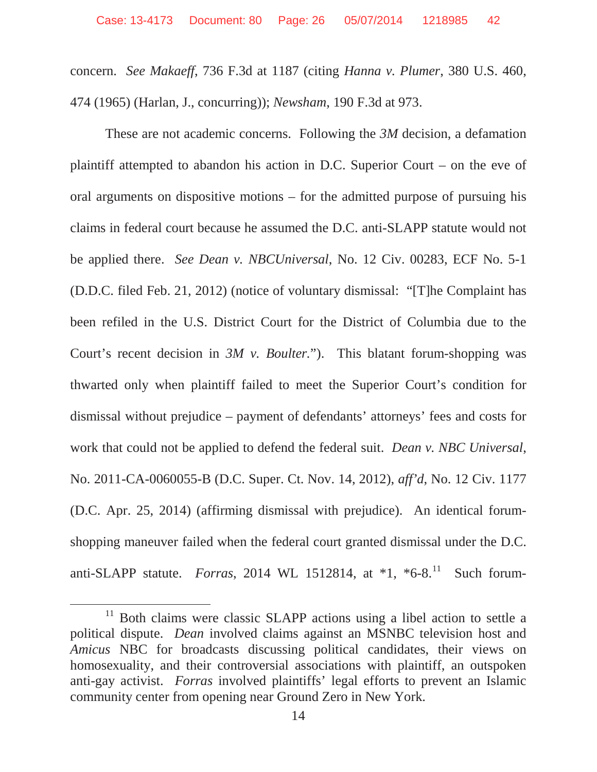concern. *See Makaeff*, 736 F.3d at 1187 (citing *Hanna v. Plumer*, 380 U.S. 460, 474 (1965) (Harlan, J., concurring)); *Newsham*, 190 F.3d at 973.

These are not academic concerns. Following the *3M* decision, a defamation plaintiff attempted to abandon his action in D.C. Superior Court – on the eve of oral arguments on dispositive motions – for the admitted purpose of pursuing his claims in federal court because he assumed the D.C. anti-SLAPP statute would not be applied there. *See Dean v. NBCUniversal*, No. 12 Civ. 00283, ECF No. 5-1 (D.D.C. filed Feb. 21, 2012) (notice of voluntary dismissal: "[T]he Complaint has been refiled in the U.S. District Court for the District of Columbia due to the Court's recent decision in *3M v. Boulter.*"). This blatant forum-shopping was thwarted only when plaintiff failed to meet the Superior Court's condition for dismissal without prejudice – payment of defendants' attorneys' fees and costs for work that could not be applied to defend the federal suit. *Dean v. NBC Universal*, No. 2011-CA-0060055-B (D.C. Super. Ct. Nov. 14, 2012), *aff'd*, No. 12 Civ. 1177 (D.C. Apr. 25, 2014) (affirming dismissal with prejudice). An identical forumshopping maneuver failed when the federal court granted dismissal under the D.C. anti-SLAPP statute. *Forras*, 2014 WL 1512814, at \*1, \*6-8.<sup>11</sup> Such forum-

<sup>&</sup>lt;sup>11</sup> Both claims were classic SLAPP actions using a libel action to settle a political dispute. *Dean* involved claims against an MSNBC television host and *Amicus* NBC for broadcasts discussing political candidates, their views on homosexuality, and their controversial associations with plaintiff, an outspoken anti-gay activist. *Forras* involved plaintiffs' legal efforts to prevent an Islamic community center from opening near Ground Zero in New York.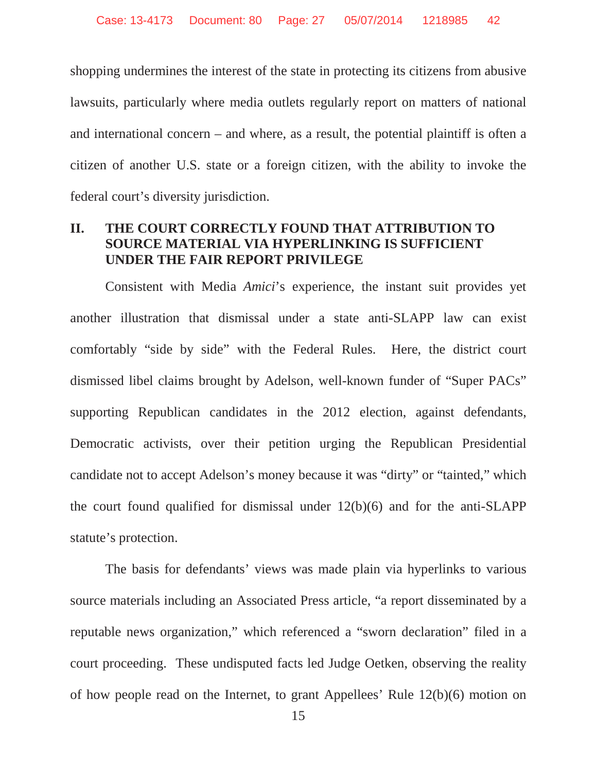shopping undermines the interest of the state in protecting its citizens from abusive lawsuits, particularly where media outlets regularly report on matters of national and international concern – and where, as a result, the potential plaintiff is often a citizen of another U.S. state or a foreign citizen, with the ability to invoke the federal court's diversity jurisdiction.

#### **II. THE COURT CORRECTLY FOUND THAT ATTRIBUTION TO SOURCE MATERIAL VIA HYPERLINKING IS SUFFICIENT UNDER THE FAIR REPORT PRIVILEGE**

Consistent with Media *Amici*'s experience, the instant suit provides yet another illustration that dismissal under a state anti-SLAPP law can exist comfortably "side by side" with the Federal Rules. Here, the district court dismissed libel claims brought by Adelson, well-known funder of "Super PACs" supporting Republican candidates in the 2012 election, against defendants, Democratic activists, over their petition urging the Republican Presidential candidate not to accept Adelson's money because it was "dirty" or "tainted," which the court found qualified for dismissal under 12(b)(6) and for the anti-SLAPP statute's protection.

The basis for defendants' views was made plain via hyperlinks to various source materials including an Associated Press article, "a report disseminated by a reputable news organization," which referenced a "sworn declaration" filed in a court proceeding. These undisputed facts led Judge Oetken, observing the reality of how people read on the Internet, to grant Appellees' Rule 12(b)(6) motion on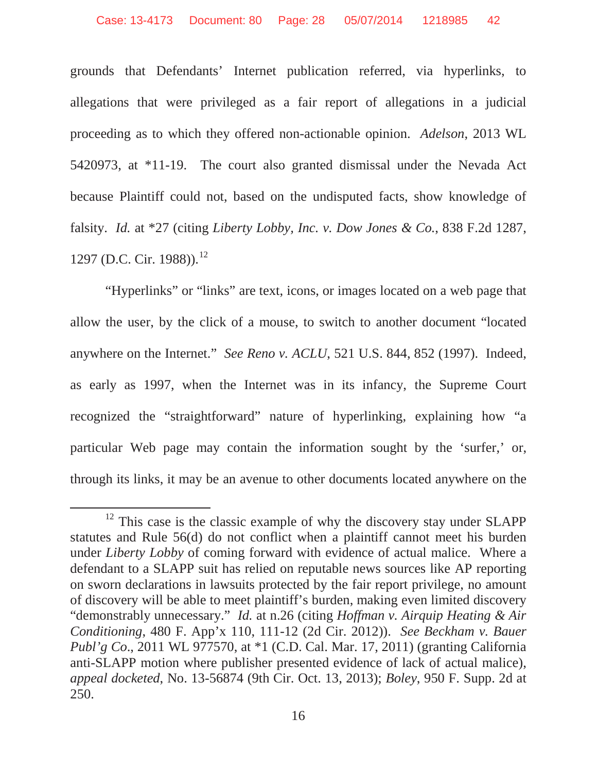grounds that Defendants' Internet publication referred, via hyperlinks, to allegations that were privileged as a fair report of allegations in a judicial proceeding as to which they offered non-actionable opinion. *Adelson*, 2013 WL 5420973, at \*11-19. The court also granted dismissal under the Nevada Act because Plaintiff could not, based on the undisputed facts, show knowledge of falsity. *Id.* at \*27 (citing *Liberty Lobby, Inc. v. Dow Jones & Co.*, 838 F.2d 1287, 1297 (D.C. Cir. 1988)).<sup>12</sup>

"Hyperlinks" or "links" are text, icons, or images located on a web page that allow the user, by the click of a mouse, to switch to another document "located anywhere on the Internet." *See Reno v. ACLU*, 521 U.S. 844, 852 (1997). Indeed, as early as 1997, when the Internet was in its infancy, the Supreme Court recognized the "straightforward" nature of hyperlinking, explaining how "a particular Web page may contain the information sought by the 'surfer,' or, through its links, it may be an avenue to other documents located anywhere on the

<sup>&</sup>lt;sup>12</sup> This case is the classic example of why the discovery stay under SLAPP statutes and Rule 56(d) do not conflict when a plaintiff cannot meet his burden under *Liberty Lobby* of coming forward with evidence of actual malice. Where a defendant to a SLAPP suit has relied on reputable news sources like AP reporting on sworn declarations in lawsuits protected by the fair report privilege, no amount of discovery will be able to meet plaintiff's burden, making even limited discovery "demonstrably unnecessary." *Id.* at n.26 (citing *Hoffman v. Airquip Heating & Air Conditioning*, 480 F. App'x 110, 111-12 (2d Cir. 2012)). *See Beckham v. Bauer Publ'g Co.*, 2011 WL 977570, at \*1 (C.D. Cal. Mar. 17, 2011) (granting California anti-SLAPP motion where publisher presented evidence of lack of actual malice), *appeal docketed*, No. 13-56874 (9th Cir. Oct. 13, 2013); *Boley*, 950 F. Supp. 2d at 250.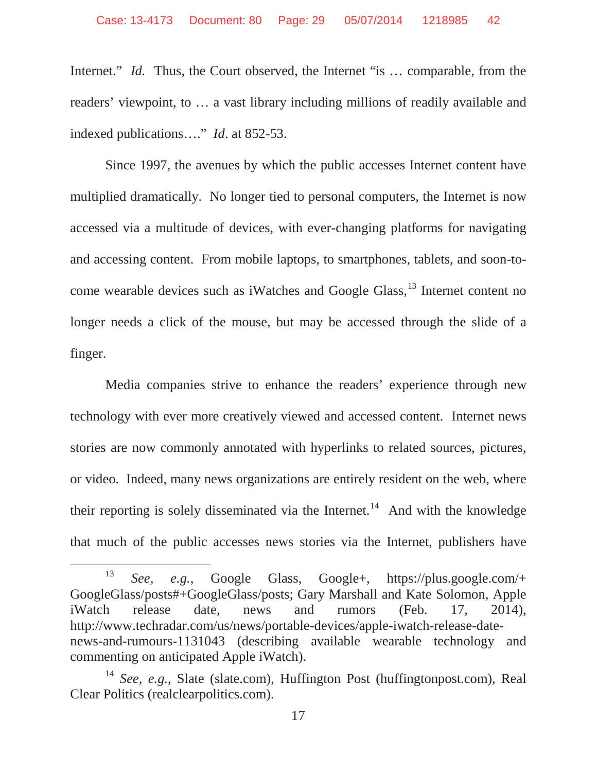Internet." *Id.* Thus, the Court observed, the Internet "is ... comparable, from the readers' viewpoint, to … a vast library including millions of readily available and indexed publications…." *Id*. at 852-53.

Since 1997, the avenues by which the public accesses Internet content have multiplied dramatically. No longer tied to personal computers, the Internet is now accessed via a multitude of devices, with ever-changing platforms for navigating and accessing content. From mobile laptops, to smartphones, tablets, and soon-tocome wearable devices such as iWatches and Google Glass,<sup>13</sup> Internet content no longer needs a click of the mouse, but may be accessed through the slide of a finger.

Media companies strive to enhance the readers' experience through new technology with ever more creatively viewed and accessed content. Internet news stories are now commonly annotated with hyperlinks to related sources, pictures, or video. Indeed, many news organizations are entirely resident on the web, where their reporting is solely disseminated via the Internet.<sup>14</sup> And with the knowledge that much of the public accesses news stories via the Internet, publishers have

<sup>13</sup> *See, e.g.*, Google Glass, Google+, https://plus.google.com/+ GoogleGlass/posts#+GoogleGlass/posts; Gary Marshall and Kate Solomon, Apple iWatch release date, news and rumors (Feb. 17, 2014), http://www.techradar.com/us/news/portable-devices/apple-iwatch-release-datenews-and-rumours-1131043 (describing available wearable technology and commenting on anticipated Apple iWatch).

<sup>&</sup>lt;sup>14</sup> *See, e.g.*, Slate (slate.com), Huffington Post (huffingtonpost.com), Real Clear Politics (realclearpolitics.com).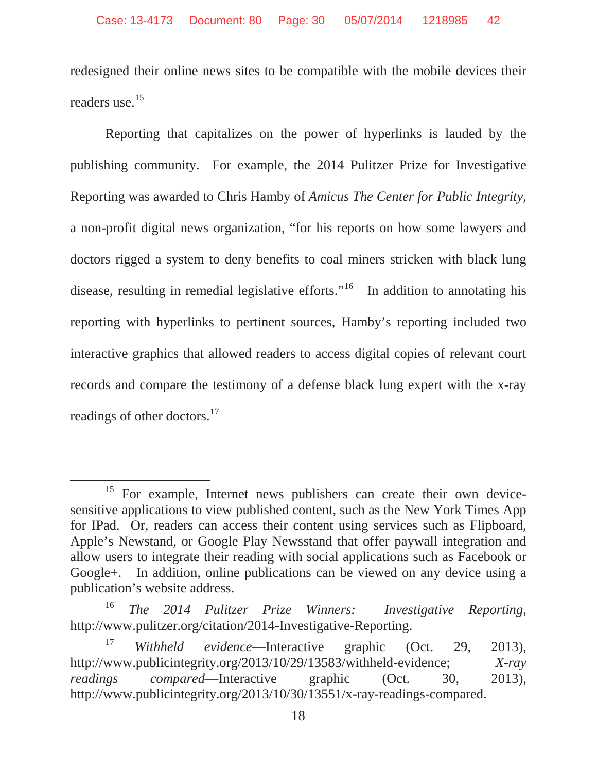redesigned their online news sites to be compatible with the mobile devices their readers use.<sup>15</sup>

Reporting that capitalizes on the power of hyperlinks is lauded by the publishing community. For example, the 2014 Pulitzer Prize for Investigative Reporting was awarded to Chris Hamby of *Amicus The Center for Public Integrity*, a non-profit digital news organization, "for his reports on how some lawyers and doctors rigged a system to deny benefits to coal miners stricken with black lung disease, resulting in remedial legislative efforts."<sup>16</sup> In addition to annotating his reporting with hyperlinks to pertinent sources, Hamby's reporting included two interactive graphics that allowed readers to access digital copies of relevant court records and compare the testimony of a defense black lung expert with the x-ray readings of other doctors.<sup>17</sup>

<sup>&</sup>lt;sup>15</sup> For example, Internet news publishers can create their own devicesensitive applications to view published content, such as the New York Times App for IPad. Or, readers can access their content using services such as Flipboard, Apple's Newstand, or Google Play Newsstand that offer paywall integration and allow users to integrate their reading with social applications such as Facebook or Google+. In addition, online publications can be viewed on any device using a publication's website address.

<sup>16</sup> *The 2014 Pulitzer Prize Winners: Investigative Reporting*, http://www.pulitzer.org/citation/2014-Investigative-Reporting.

<sup>17</sup> *Withheld evidence*—Interactive graphic (Oct. 29, 2013), http://www.publicintegrity.org/2013/10/29/13583/withheld-evidence; *X-ray readings compared*—Interactive graphic (Oct. 30, 2013), http://www.publicintegrity.org/2013/10/30/13551/x-ray-readings-compared.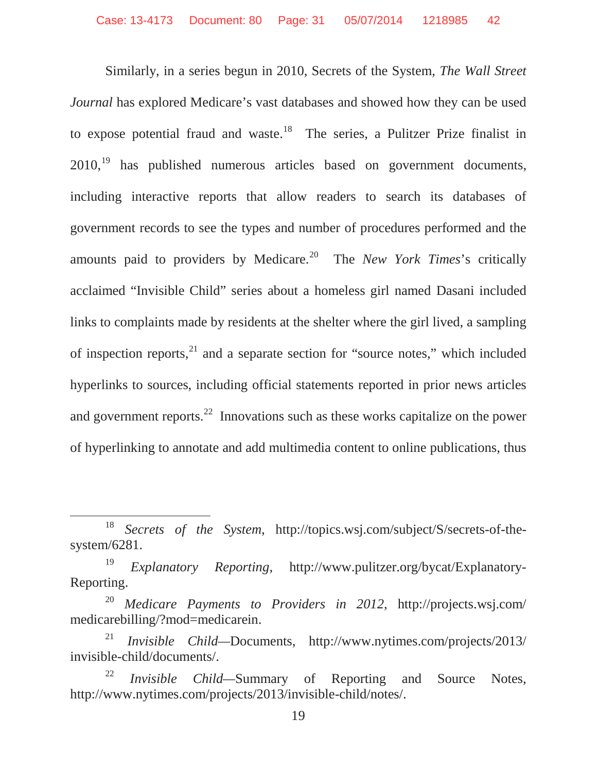Similarly, in a series begun in 2010, Secrets of the System, *The Wall Street Journal* has explored Medicare's vast databases and showed how they can be used to expose potential fraud and waste.<sup>18</sup> The series, a Pulitzer Prize finalist in  $2010<sup>19</sup>$  has published numerous articles based on government documents, including interactive reports that allow readers to search its databases of government records to see the types and number of procedures performed and the amounts paid to providers by Medicare.<sup>20</sup> The *New York Times*'s critically acclaimed "Invisible Child" series about a homeless girl named Dasani included links to complaints made by residents at the shelter where the girl lived, a sampling of inspection reports, $^{21}$  and a separate section for "source notes," which included hyperlinks to sources, including official statements reported in prior news articles and government reports.<sup>22</sup> Innovations such as these works capitalize on the power of hyperlinking to annotate and add multimedia content to online publications, thus

<sup>18</sup> *Secrets of the System*, http://topics.wsj.com/subject/S/secrets-of-thesystem/6281.

<sup>19</sup> *Explanatory Reporting*, http://www.pulitzer.org/bycat/Explanatory-Reporting.

<sup>20</sup> *Medicare Payments to Providers in 2012*, http://projects.wsj.com/ medicarebilling/?mod=medicarein.

<sup>21</sup> *Invisible Child—*Documents, http://www.nytimes.com/projects/2013/ invisible-child/documents/.

<sup>22</sup> *Invisible Child—*Summary of Reporting and Source Notes, http://www.nytimes.com/projects/2013/invisible-child/notes/.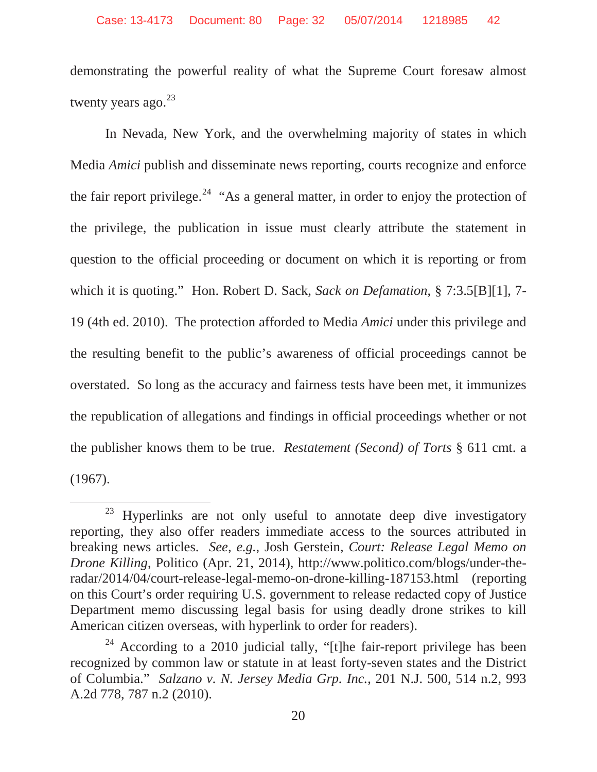demonstrating the powerful reality of what the Supreme Court foresaw almost twenty years ago. $^{23}$ 

In Nevada, New York, and the overwhelming majority of states in which Media *Amici* publish and disseminate news reporting, courts recognize and enforce the fair report privilege.<sup>24</sup> "As a general matter, in order to enjoy the protection of the privilege, the publication in issue must clearly attribute the statement in question to the official proceeding or document on which it is reporting or from which it is quoting." Hon. Robert D. Sack, *Sack on Defamation*, § 7:3.5[B][1], 7- 19 (4th ed. 2010). The protection afforded to Media *Amici* under this privilege and the resulting benefit to the public's awareness of official proceedings cannot be overstated. So long as the accuracy and fairness tests have been met, it immunizes the republication of allegations and findings in official proceedings whether or not the publisher knows them to be true. *Restatement (Second) of Torts* § 611 cmt. a (1967).

<sup>&</sup>lt;sup>23</sup> Hyperlinks are not only useful to annotate deep dive investigatory reporting, they also offer readers immediate access to the sources attributed in breaking news articles. *See, e.g.*, Josh Gerstein, *Court: Release Legal Memo on Drone Killing*, Politico (Apr. 21, 2014), http://www.politico.com/blogs/under-theradar/2014/04/court-release-legal-memo-on-drone-killing-187153.html (reporting on this Court's order requiring U.S. government to release redacted copy of Justice Department memo discussing legal basis for using deadly drone strikes to kill American citizen overseas, with hyperlink to order for readers).

 $24$  According to a 2010 judicial tally, "[t]he fair-report privilege has been recognized by common law or statute in at least forty-seven states and the District of Columbia." *Salzano v. N. Jersey Media Grp. Inc.*, 201 N.J. 500, 514 n.2, 993 A.2d 778, 787 n.2 (2010).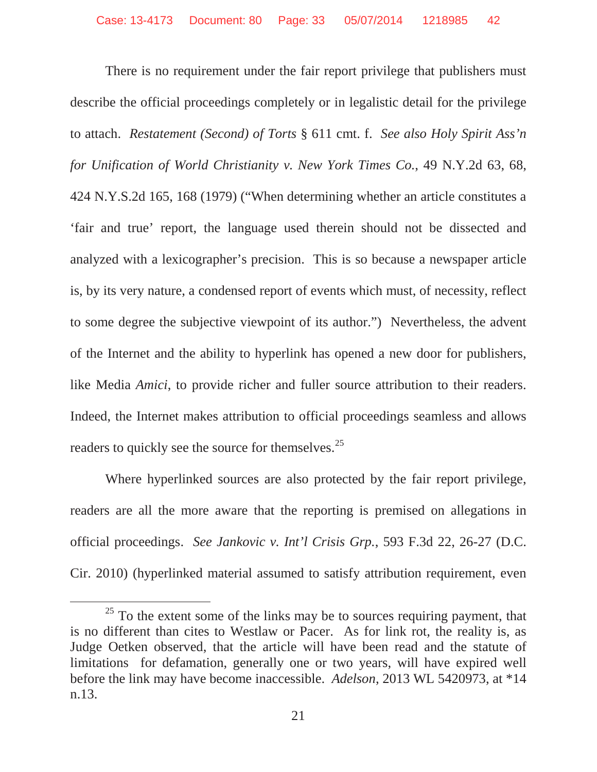There is no requirement under the fair report privilege that publishers must describe the official proceedings completely or in legalistic detail for the privilege to attach. *Restatement (Second) of Torts* § 611 cmt. f. *See also Holy Spirit Ass'n for Unification of World Christianity v. New York Times Co.*, 49 N.Y.2d 63, 68, 424 N.Y.S.2d 165, 168 (1979) ("When determining whether an article constitutes a 'fair and true' report, the language used therein should not be dissected and analyzed with a lexicographer's precision. This is so because a newspaper article is, by its very nature, a condensed report of events which must, of necessity, reflect to some degree the subjective viewpoint of its author.") Nevertheless, the advent of the Internet and the ability to hyperlink has opened a new door for publishers, like Media *Amici*, to provide richer and fuller source attribution to their readers. Indeed, the Internet makes attribution to official proceedings seamless and allows readers to quickly see the source for themselves.<sup>25</sup>

Where hyperlinked sources are also protected by the fair report privilege, readers are all the more aware that the reporting is premised on allegations in official proceedings. *See Jankovic v. Int'l Crisis Grp.*, 593 F.3d 22, 26-27 (D.C. Cir. 2010) (hyperlinked material assumed to satisfy attribution requirement, even

 $25$  To the extent some of the links may be to sources requiring payment, that is no different than cites to Westlaw or Pacer. As for link rot, the reality is, as Judge Oetken observed, that the article will have been read and the statute of limitations for defamation, generally one or two years, will have expired well before the link may have become inaccessible. *Adelson*, 2013 WL 5420973, at \*14 n.13.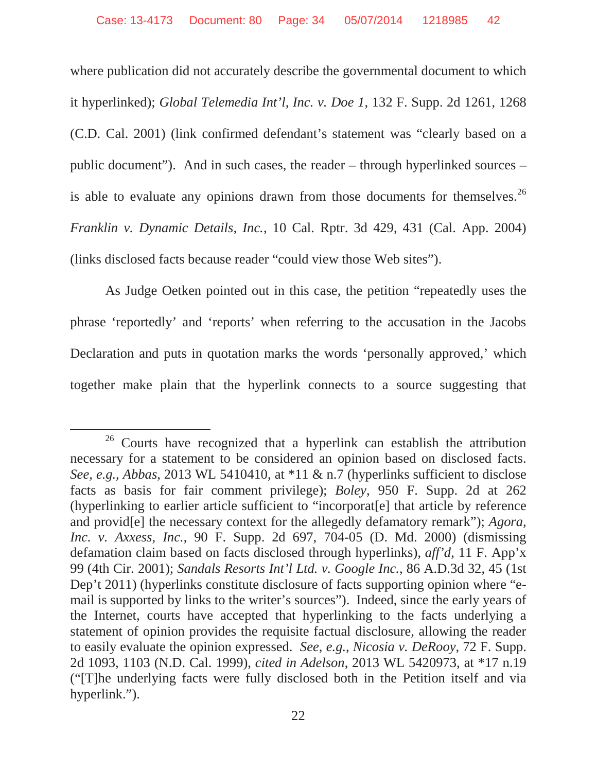where publication did not accurately describe the governmental document to which it hyperlinked); *Global Telemedia Int'l, Inc. v. Doe 1*, 132 F. Supp. 2d 1261, 1268 (C.D. Cal. 2001) (link confirmed defendant's statement was "clearly based on a public document"). And in such cases, the reader – through hyperlinked sources – is able to evaluate any opinions drawn from those documents for themselves.<sup>26</sup> *Franklin v. Dynamic Details, Inc.*, 10 Cal. Rptr. 3d 429, 431 (Cal. App. 2004) (links disclosed facts because reader "could view those Web sites").

As Judge Oetken pointed out in this case, the petition "repeatedly uses the phrase 'reportedly' and 'reports' when referring to the accusation in the Jacobs Declaration and puts in quotation marks the words 'personally approved,' which together make plain that the hyperlink connects to a source suggesting that

<sup>&</sup>lt;sup>26</sup> Courts have recognized that a hyperlink can establish the attribution necessary for a statement to be considered an opinion based on disclosed facts. *See, e.g.*, *Abbas*, 2013 WL 5410410, at \*11 & n.7 (hyperlinks sufficient to disclose facts as basis for fair comment privilege); *Boley*, 950 F. Supp. 2d at 262 (hyperlinking to earlier article sufficient to "incorporat[e] that article by reference and provid[e] the necessary context for the allegedly defamatory remark"); *Agora, Inc. v. Axxess, Inc.*, 90 F. Supp. 2d 697, 704-05 (D. Md. 2000) (dismissing defamation claim based on facts disclosed through hyperlinks), *aff'd*, 11 F. App'x 99 (4th Cir. 2001); *Sandals Resorts Int'l Ltd. v. Google Inc.*, 86 A.D.3d 32, 45 (1st Dep't 2011) (hyperlinks constitute disclosure of facts supporting opinion where "email is supported by links to the writer's sources"). Indeed, since the early years of the Internet, courts have accepted that hyperlinking to the facts underlying a statement of opinion provides the requisite factual disclosure, allowing the reader to easily evaluate the opinion expressed. *See, e.g.*, *Nicosia v. DeRooy*, 72 F. Supp. 2d 1093, 1103 (N.D. Cal. 1999), *cited in Adelson*, 2013 WL 5420973, at \*17 n.19 ("[T]he underlying facts were fully disclosed both in the Petition itself and via hyperlink.").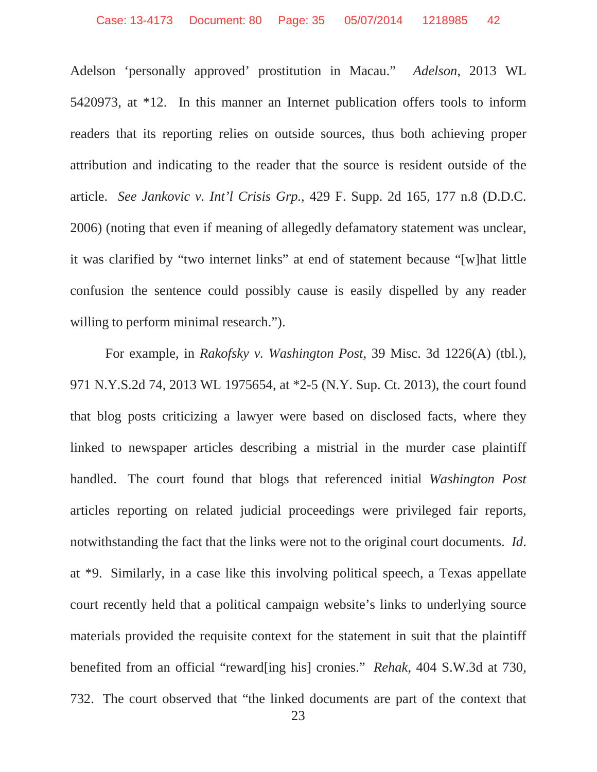Adelson 'personally approved' prostitution in Macau." *Adelson*, 2013 WL 5420973, at \*12. In this manner an Internet publication offers tools to inform readers that its reporting relies on outside sources, thus both achieving proper attribution and indicating to the reader that the source is resident outside of the article. *See Jankovic v. Int'l Crisis Grp.*, 429 F. Supp. 2d 165, 177 n.8 (D.D.C. 2006) (noting that even if meaning of allegedly defamatory statement was unclear, it was clarified by "two internet links" at end of statement because "[w]hat little confusion the sentence could possibly cause is easily dispelled by any reader willing to perform minimal research.").

For example, in *Rakofsky v. Washington Post*, 39 Misc. 3d 1226(A) (tbl.), 971 N.Y.S.2d 74, 2013 WL 1975654, at \*2-5 (N.Y. Sup. Ct. 2013), the court found that blog posts criticizing a lawyer were based on disclosed facts, where they linked to newspaper articles describing a mistrial in the murder case plaintiff handled. The court found that blogs that referenced initial *Washington Post* articles reporting on related judicial proceedings were privileged fair reports, notwithstanding the fact that the links were not to the original court documents. *Id*. at \*9. Similarly, in a case like this involving political speech, a Texas appellate court recently held that a political campaign website's links to underlying source materials provided the requisite context for the statement in suit that the plaintiff benefited from an official "reward[ing his] cronies." *Rehak*, 404 S.W.3d at 730, 732. The court observed that "the linked documents are part of the context that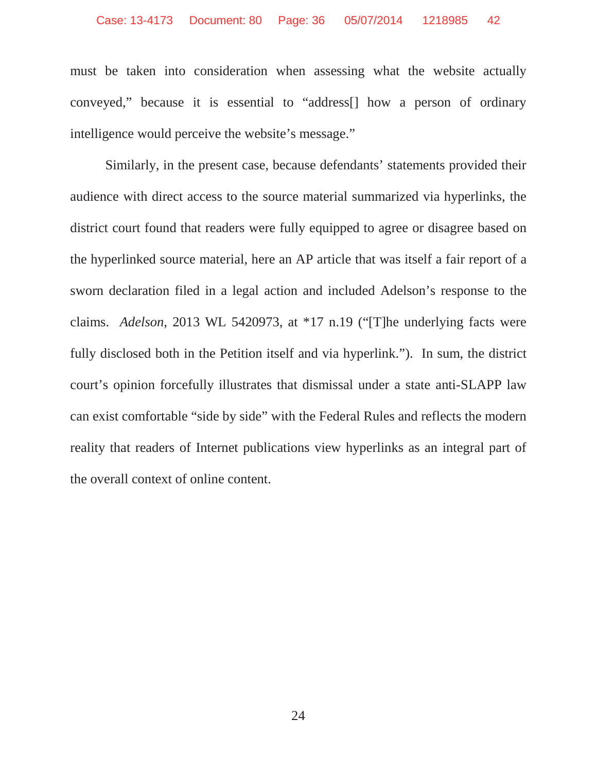must be taken into consideration when assessing what the website actually conveyed," because it is essential to "address[] how a person of ordinary intelligence would perceive the website's message."

Similarly, in the present case, because defendants' statements provided their audience with direct access to the source material summarized via hyperlinks, the district court found that readers were fully equipped to agree or disagree based on the hyperlinked source material, here an AP article that was itself a fair report of a sworn declaration filed in a legal action and included Adelson's response to the claims. *Adelson*, 2013 WL 5420973, at \*17 n.19 ("[T]he underlying facts were fully disclosed both in the Petition itself and via hyperlink."). In sum, the district court's opinion forcefully illustrates that dismissal under a state anti-SLAPP law can exist comfortable "side by side" with the Federal Rules and reflects the modern reality that readers of Internet publications view hyperlinks as an integral part of the overall context of online content.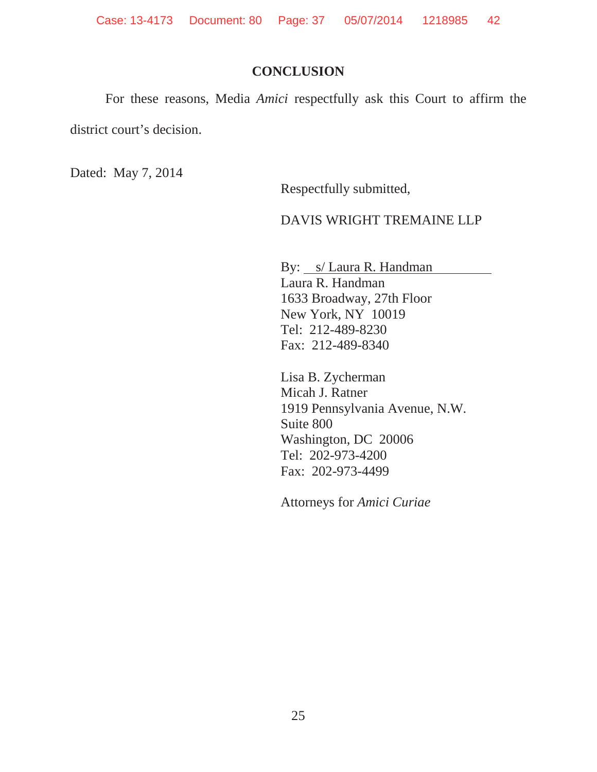Case: 13-4173 Document: 80 Page: 37 05/07/2014 1218985 42

#### **CONCLUSION**

For these reasons, Media *Amici* respectfully ask this Court to affirm the

district court's decision.

Dated: May 7, 2014

Respectfully submitted,

#### DAVIS WRIGHT TREMAINE LLP

By: *s/Laura R. Handman* Laura R. Handman 1633 Broadway, 27th Floor New York, NY 10019 Tel: 212-489-8230 Fax: 212-489-8340

Lisa B. Zycherman Micah J. Ratner 1919 Pennsylvania Avenue, N.W. Suite 800 Washington, DC 20006 Tel: 202-973-4200 Fax: 202-973-4499

Attorneys for *Amici Curiae*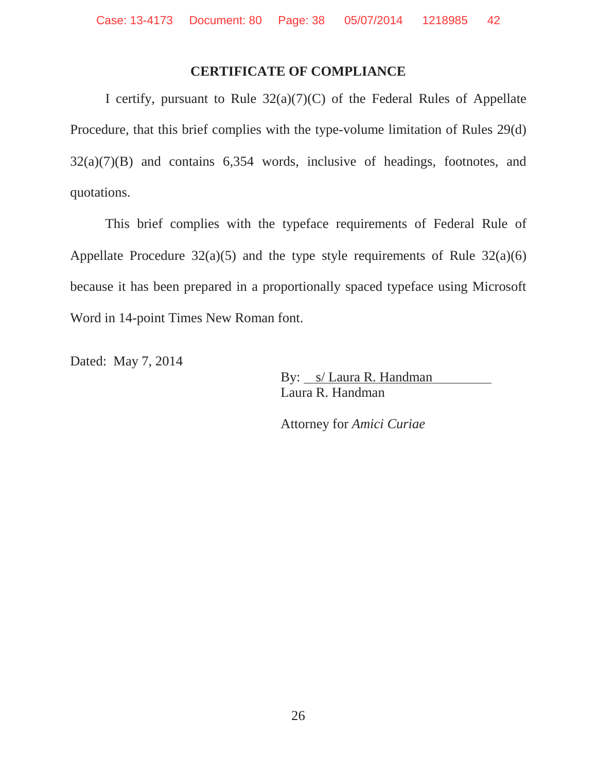#### **CERTIFICATE OF COMPLIANCE**

I certify, pursuant to Rule 32(a)(7)(C) of the Federal Rules of Appellate Procedure, that this brief complies with the type-volume limitation of Rules 29(d) 32(a)(7)(B) and contains 6,354 words, inclusive of headings, footnotes, and quotations.

This brief complies with the typeface requirements of Federal Rule of Appellate Procedure  $32(a)(5)$  and the type style requirements of Rule  $32(a)(6)$ because it has been prepared in a proportionally spaced typeface using Microsoft Word in 14-point Times New Roman font.

Dated: May 7, 2014

By: s/ Laura R. Handman Laura R. Handman

Attorney for *Amici Curiae*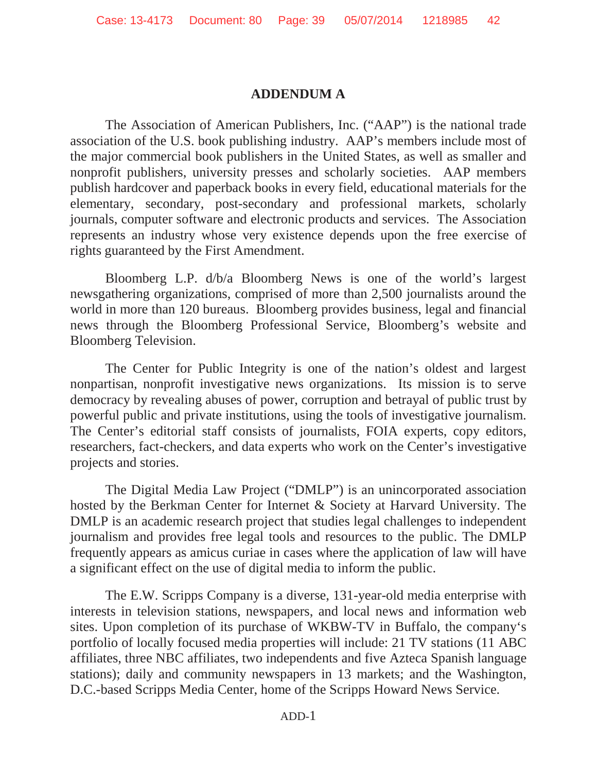#### **ADDENDUM A**

The Association of American Publishers, Inc. ("AAP") is the national trade association of the U.S. book publishing industry. AAP's members include most of the major commercial book publishers in the United States, as well as smaller and nonprofit publishers, university presses and scholarly societies. AAP members publish hardcover and paperback books in every field, educational materials for the elementary, secondary, post-secondary and professional markets, scholarly journals, computer software and electronic products and services. The Association represents an industry whose very existence depends upon the free exercise of rights guaranteed by the First Amendment.

Bloomberg L.P. d/b/a Bloomberg News is one of the world's largest newsgathering organizations, comprised of more than 2,500 journalists around the world in more than 120 bureaus. Bloomberg provides business, legal and financial news through the Bloomberg Professional Service, Bloomberg's website and Bloomberg Television.

The Center for Public Integrity is one of the nation's oldest and largest nonpartisan, nonprofit investigative news organizations. Its mission is to serve democracy by revealing abuses of power, corruption and betrayal of public trust by powerful public and private institutions, using the tools of investigative journalism. The Center's editorial staff consists of journalists, FOIA experts, copy editors, researchers, fact-checkers, and data experts who work on the Center's investigative projects and stories.

The Digital Media Law Project ("DMLP") is an unincorporated association hosted by the Berkman Center for Internet & Society at Harvard University. The DMLP is an academic research project that studies legal challenges to independent journalism and provides free legal tools and resources to the public. The DMLP frequently appears as amicus curiae in cases where the application of law will have a significant effect on the use of digital media to inform the public.

The E.W. Scripps Company is a diverse, 131-year-old media enterprise with interests in television stations, newspapers, and local news and information web sites. Upon completion of its purchase of WKBW-TV in Buffalo, the company's portfolio of locally focused media properties will include: 21 TV stations (11 ABC affiliates, three NBC affiliates, two independents and five Azteca Spanish language stations); daily and community newspapers in 13 markets; and the Washington, D.C.-based Scripps Media Center, home of the Scripps Howard News Service.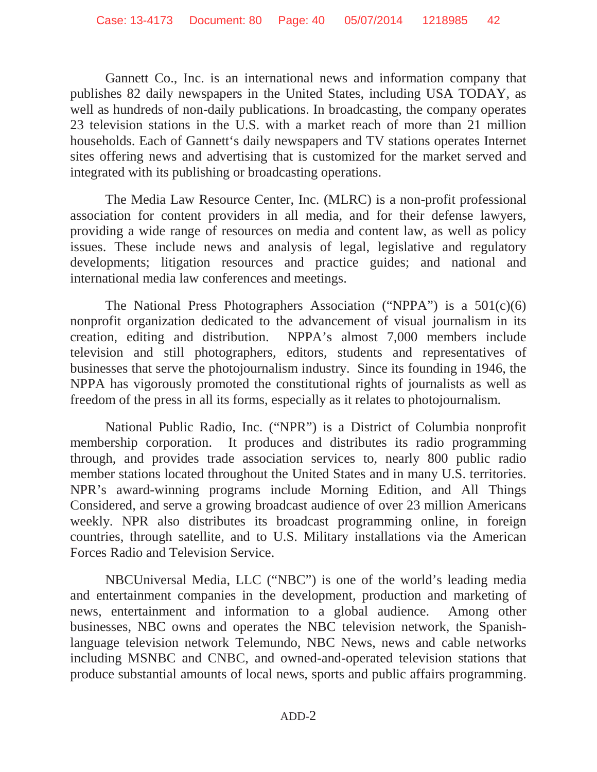Gannett Co., Inc. is an international news and information company that publishes 82 daily newspapers in the United States, including USA TODAY, as well as hundreds of non-daily publications. In broadcasting, the company operates 23 television stations in the U.S. with a market reach of more than 21 million households. Each of Gannett's daily newspapers and TV stations operates Internet sites offering news and advertising that is customized for the market served and integrated with its publishing or broadcasting operations.

The Media Law Resource Center, Inc. (MLRC) is a non-profit professional association for content providers in all media, and for their defense lawyers, providing a wide range of resources on media and content law, as well as policy issues. These include news and analysis of legal, legislative and regulatory developments; litigation resources and practice guides; and national and international media law conferences and meetings.

The National Press Photographers Association ("NPPA") is a  $501(c)(6)$ nonprofit organization dedicated to the advancement of visual journalism in its creation, editing and distribution. NPPA's almost 7,000 members include television and still photographers, editors, students and representatives of businesses that serve the photojournalism industry. Since its founding in 1946, the NPPA has vigorously promoted the constitutional rights of journalists as well as freedom of the press in all its forms, especially as it relates to photojournalism.

National Public Radio, Inc. ("NPR") is a District of Columbia nonprofit membership corporation. It produces and distributes its radio programming through, and provides trade association services to, nearly 800 public radio member stations located throughout the United States and in many U.S. territories. NPR's award-winning programs include Morning Edition, and All Things Considered, and serve a growing broadcast audience of over 23 million Americans weekly. NPR also distributes its broadcast programming online, in foreign countries, through satellite, and to U.S. Military installations via the American Forces Radio and Television Service.

NBCUniversal Media, LLC ("NBC") is one of the world's leading media and entertainment companies in the development, production and marketing of news, entertainment and information to a global audience. Among other businesses, NBC owns and operates the NBC television network, the Spanishlanguage television network Telemundo, NBC News, news and cable networks including MSNBC and CNBC, and owned-and-operated television stations that produce substantial amounts of local news, sports and public affairs programming.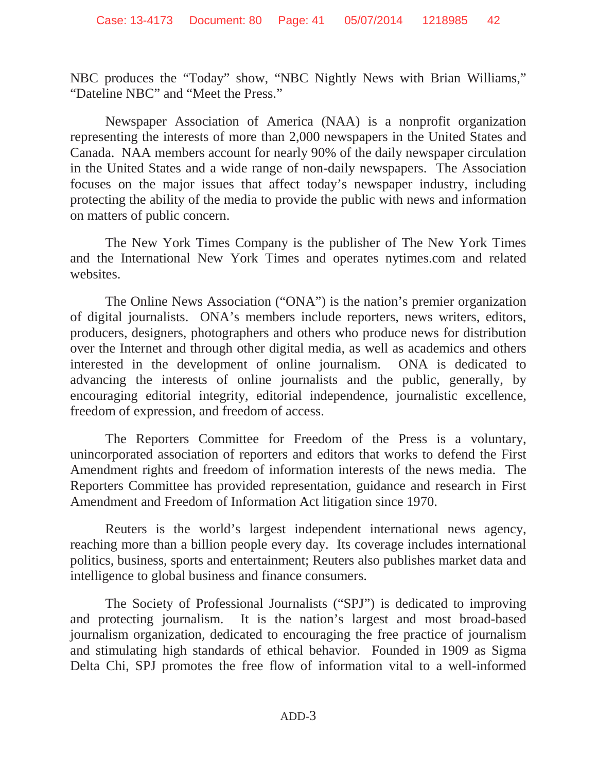NBC produces the "Today" show, "NBC Nightly News with Brian Williams," "Dateline NBC" and "Meet the Press."

Newspaper Association of America (NAA) is a nonprofit organization representing the interests of more than 2,000 newspapers in the United States and Canada. NAA members account for nearly 90% of the daily newspaper circulation in the United States and a wide range of non-daily newspapers. The Association focuses on the major issues that affect today's newspaper industry, including protecting the ability of the media to provide the public with news and information on matters of public concern.

The New York Times Company is the publisher of The New York Times and the International New York Times and operates nytimes.com and related websites.

The Online News Association ("ONA") is the nation's premier organization of digital journalists. ONA's members include reporters, news writers, editors, producers, designers, photographers and others who produce news for distribution over the Internet and through other digital media, as well as academics and others interested in the development of online journalism. ONA is dedicated to advancing the interests of online journalists and the public, generally, by encouraging editorial integrity, editorial independence, journalistic excellence, freedom of expression, and freedom of access.

The Reporters Committee for Freedom of the Press is a voluntary, unincorporated association of reporters and editors that works to defend the First Amendment rights and freedom of information interests of the news media. The Reporters Committee has provided representation, guidance and research in First Amendment and Freedom of Information Act litigation since 1970.

Reuters is the world's largest independent international news agency, reaching more than a billion people every day. Its coverage includes international politics, business, sports and entertainment; Reuters also publishes market data and intelligence to global business and finance consumers.

The Society of Professional Journalists ("SPJ") is dedicated to improving and protecting journalism. It is the nation's largest and most broad-based journalism organization, dedicated to encouraging the free practice of journalism and stimulating high standards of ethical behavior. Founded in 1909 as Sigma Delta Chi, SPJ promotes the free flow of information vital to a well-informed